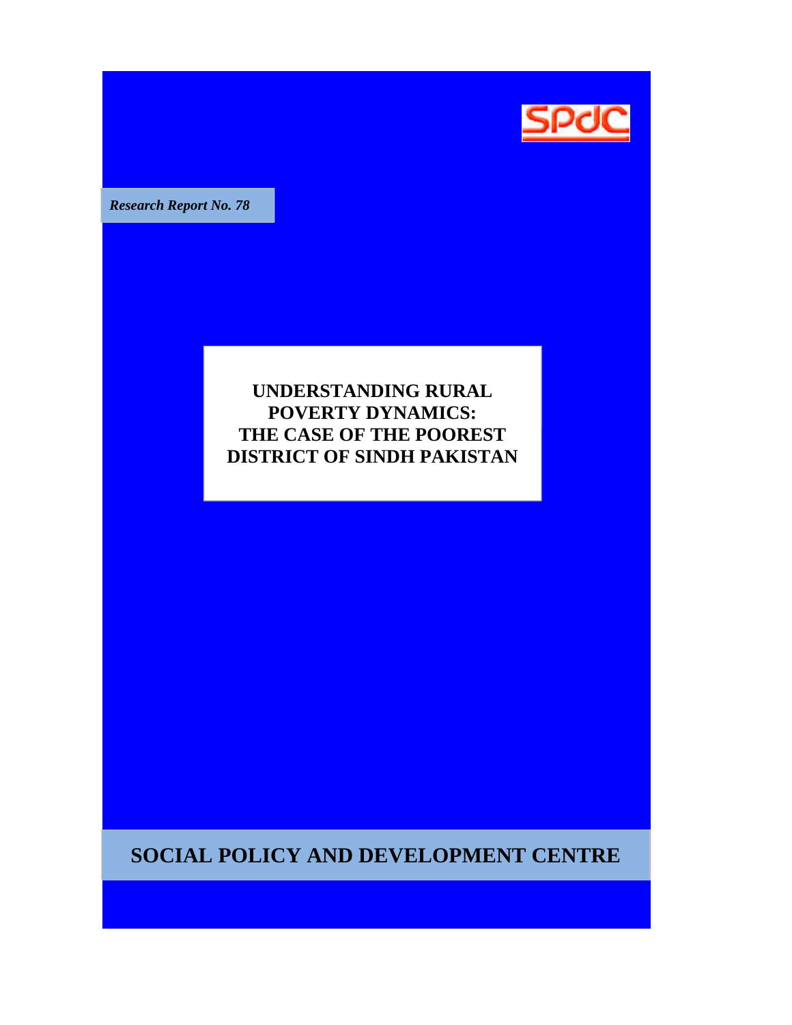

**Research Report No. 78** 

# **UNDERSTANDING RURAL POVERTY DYNAMICS: THE CASE OF THE POOREST POOREST DISTRICT OF SINDH PAKISTAN**

**SOCIAL POLICY AND DEVELOPMENT CENTRE**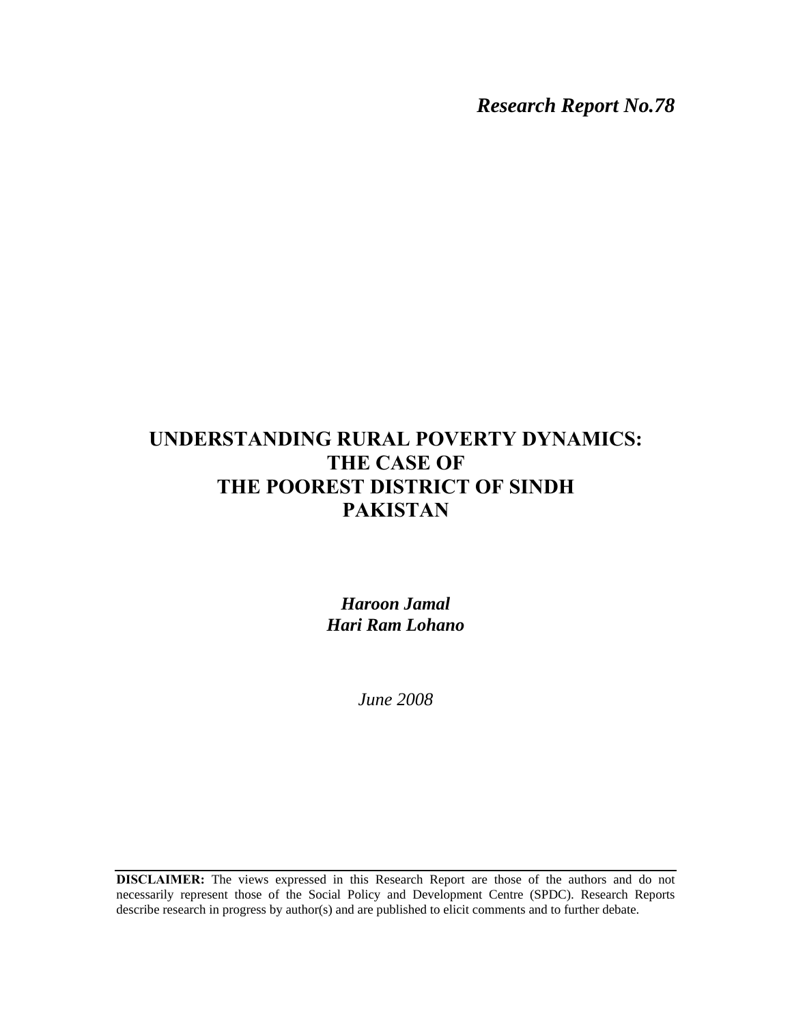*Research Report No.78* 

# **UNDERSTANDING RURAL POVERTY DYNAMICS: THE CASE OF THE POOREST DISTRICT OF SINDH PAKISTAN**

*Haroon Jamal Hari Ram Lohano* 

*June 2008* 

**DISCLAIMER:** The views expressed in this Research Report are those of the authors and do not necessarily represent those of the Social Policy and Development Centre (SPDC). Research Reports describe research in progress by author(s) and are published to elicit comments and to further debate.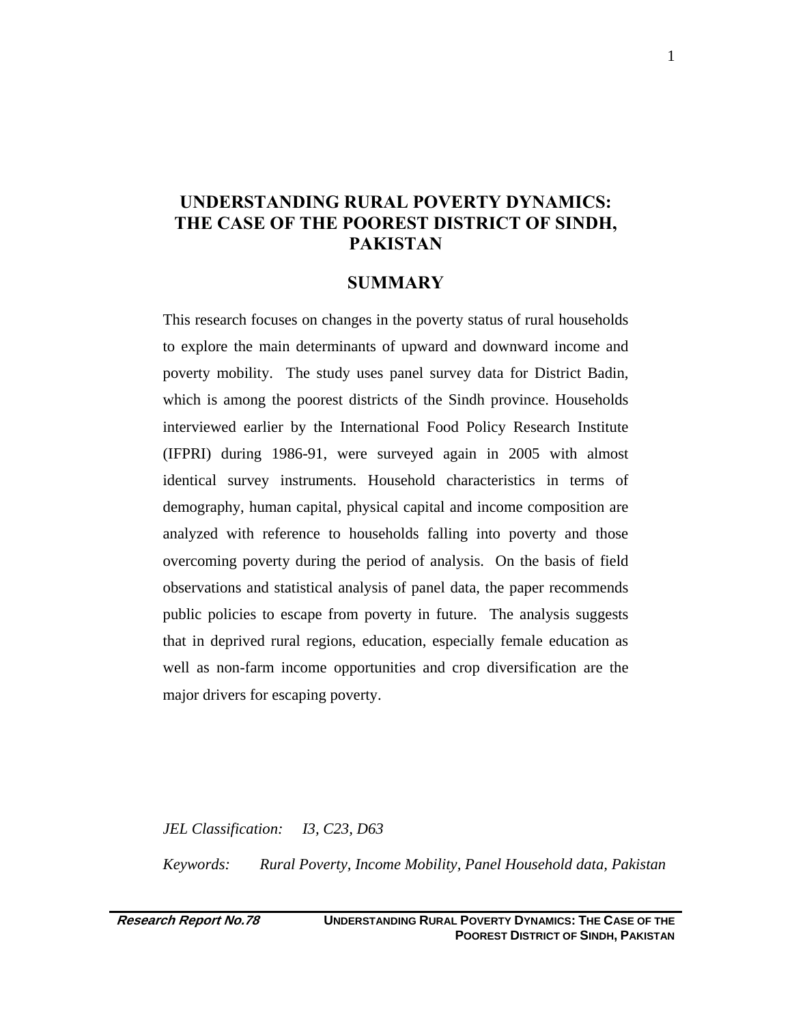# **UNDERSTANDING RURAL POVERTY DYNAMICS: THE CASE OF THE POOREST DISTRICT OF SINDH, PAKISTAN**

#### **SUMMARY**

This research focuses on changes in the poverty status of rural households to explore the main determinants of upward and downward income and poverty mobility. The study uses panel survey data for District Badin, which is among the poorest districts of the Sindh province. Households interviewed earlier by the International Food Policy Research Institute (IFPRI) during 1986-91, were surveyed again in 2005 with almost identical survey instruments. Household characteristics in terms of demography, human capital, physical capital and income composition are analyzed with reference to households falling into poverty and those overcoming poverty during the period of analysis. On the basis of field observations and statistical analysis of panel data, the paper recommends public policies to escape from poverty in future. The analysis suggests that in deprived rural regions, education, especially female education as well as non-farm income opportunities and crop diversification are the major drivers for escaping poverty.

*JEL Classification: I3, C23, D63 Keywords: Rural Poverty, Income Mobility, Panel Household data, Pakistan*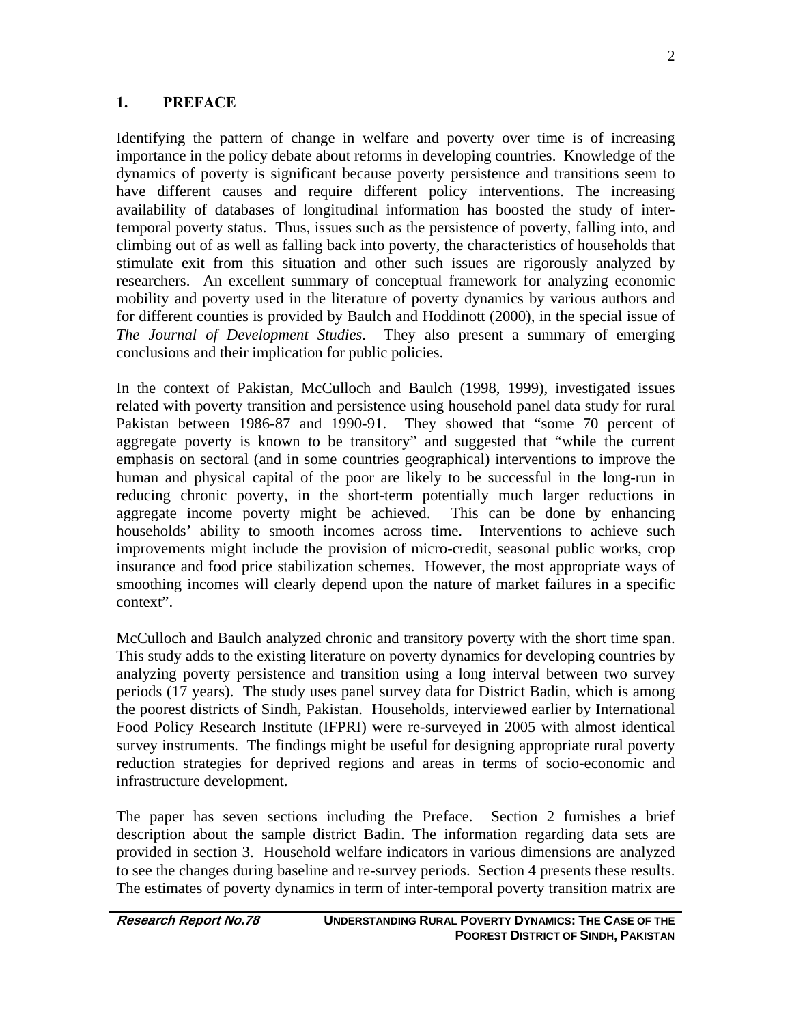### **1. PREFACE**

Identifying the pattern of change in welfare and poverty over time is of increasing importance in the policy debate about reforms in developing countries. Knowledge of the dynamics of poverty is significant because poverty persistence and transitions seem to have different causes and require different policy interventions. The increasing availability of databases of longitudinal information has boosted the study of intertemporal poverty status. Thus, issues such as the persistence of poverty, falling into, and climbing out of as well as falling back into poverty, the characteristics of households that stimulate exit from this situation and other such issues are rigorously analyzed by researchers. An excellent summary of conceptual framework for analyzing economic mobility and poverty used in the literature of poverty dynamics by various authors and for different counties is provided by Baulch and Hoddinott (2000), in the special issue of *The Journal of Development Studies*. They also present a summary of emerging conclusions and their implication for public policies.

In the context of Pakistan, McCulloch and Baulch (1998, 1999), investigated issues related with poverty transition and persistence using household panel data study for rural Pakistan between 1986-87 and 1990-91. They showed that "some 70 percent of aggregate poverty is known to be transitory" and suggested that "while the current emphasis on sectoral (and in some countries geographical) interventions to improve the human and physical capital of the poor are likely to be successful in the long-run in reducing chronic poverty, in the short-term potentially much larger reductions in aggregate income poverty might be achieved. This can be done by enhancing households' ability to smooth incomes across time. Interventions to achieve such improvements might include the provision of micro-credit, seasonal public works, crop insurance and food price stabilization schemes. However, the most appropriate ways of smoothing incomes will clearly depend upon the nature of market failures in a specific context".

McCulloch and Baulch analyzed chronic and transitory poverty with the short time span. This study adds to the existing literature on poverty dynamics for developing countries by analyzing poverty persistence and transition using a long interval between two survey periods (17 years). The study uses panel survey data for District Badin, which is among the poorest districts of Sindh, Pakistan. Households, interviewed earlier by International Food Policy Research Institute (IFPRI) were re-surveyed in 2005 with almost identical survey instruments. The findings might be useful for designing appropriate rural poverty reduction strategies for deprived regions and areas in terms of socio-economic and infrastructure development.

The paper has seven sections including the Preface. Section 2 furnishes a brief description about the sample district Badin. The information regarding data sets are provided in section 3. Household welfare indicators in various dimensions are analyzed to see the changes during baseline and re-survey periods. Section 4 presents these results. The estimates of poverty dynamics in term of inter-temporal poverty transition matrix are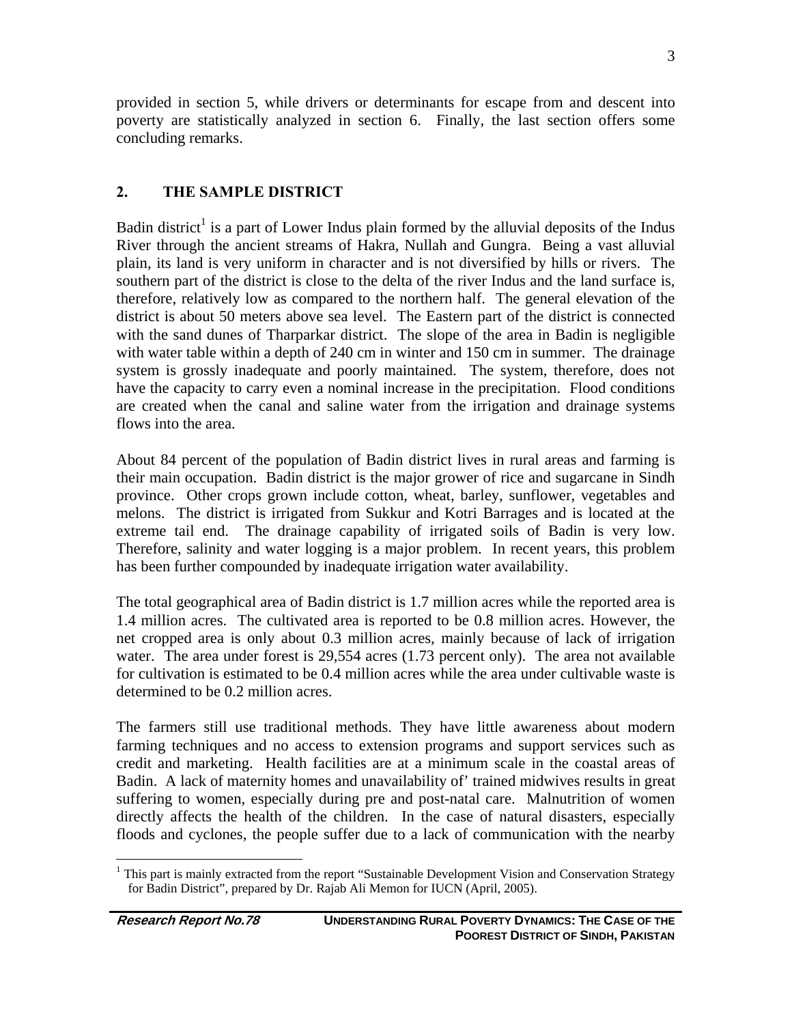provided in section 5, while drivers or determinants for escape from and descent into poverty are statistically analyzed in section 6. Finally, the last section offers some concluding remarks.

## **2. THE SAMPLE DISTRICT**

Badin district<sup>1</sup> is a part of Lower Indus plain formed by the alluvial deposits of the Indus River through the ancient streams of Hakra, Nullah and Gungra. Being a vast alluvial plain, its land is very uniform in character and is not diversified by hills or rivers. The southern part of the district is close to the delta of the river Indus and the land surface is, therefore, relatively low as compared to the northern half. The general elevation of the district is about 50 meters above sea level. The Eastern part of the district is connected with the sand dunes of Tharparkar district. The slope of the area in Badin is negligible with water table within a depth of 240 cm in winter and 150 cm in summer. The drainage system is grossly inadequate and poorly maintained. The system, therefore, does not have the capacity to carry even a nominal increase in the precipitation. Flood conditions are created when the canal and saline water from the irrigation and drainage systems flows into the area.

About 84 percent of the population of Badin district lives in rural areas and farming is their main occupation. Badin district is the major grower of rice and sugarcane in Sindh province. Other crops grown include cotton, wheat, barley, sunflower, vegetables and melons. The district is irrigated from Sukkur and Kotri Barrages and is located at the extreme tail end. The drainage capability of irrigated soils of Badin is very low. Therefore, salinity and water logging is a major problem. In recent years, this problem has been further compounded by inadequate irrigation water availability.

The total geographical area of Badin district is 1.7 million acres while the reported area is 1.4 million acres. The cultivated area is reported to be 0.8 million acres. However, the net cropped area is only about 0.3 million acres, mainly because of lack of irrigation water. The area under forest is 29,554 acres (1.73 percent only). The area not available for cultivation is estimated to be 0.4 million acres while the area under cultivable waste is determined to be 0.2 million acres.

The farmers still use traditional methods. They have little awareness about modern farming techniques and no access to extension programs and support services such as credit and marketing. Health facilities are at a minimum scale in the coastal areas of Badin. A lack of maternity homes and unavailability of' trained midwives results in great suffering to women, especially during pre and post-natal care. Malnutrition of women directly affects the health of the children. In the case of natural disasters, especially floods and cyclones, the people suffer due to a lack of communication with the nearby

3

<sup>&</sup>lt;sup>1</sup> This part is mainly extracted from the report "Sustainable Development Vision and Conservation Strategy for Badin District", prepared by Dr. Rajab Ali Memon for IUCN (April, 2005).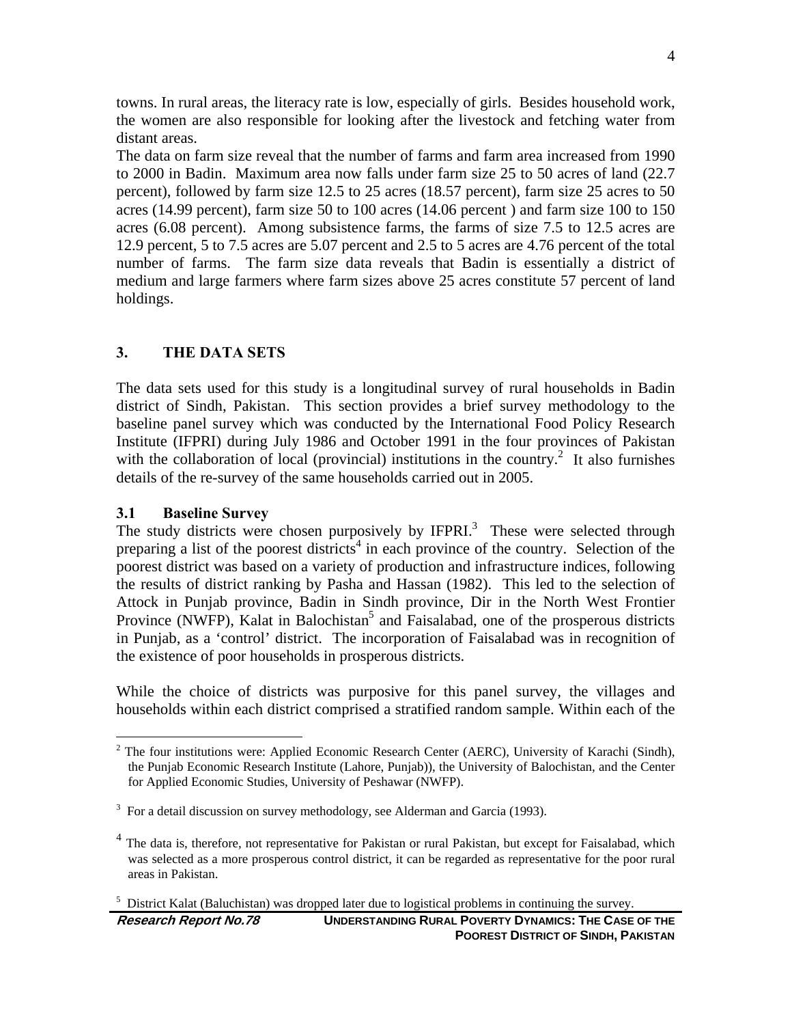towns. In rural areas, the literacy rate is low, especially of girls. Besides household work, the women are also responsible for looking after the livestock and fetching water from distant areas.

The data on farm size reveal that the number of farms and farm area increased from 1990 to 2000 in Badin. Maximum area now falls under farm size 25 to 50 acres of land (22.7 percent), followed by farm size 12.5 to 25 acres (18.57 percent), farm size 25 acres to 50 acres (14.99 percent), farm size 50 to 100 acres (14.06 percent ) and farm size 100 to 150 acres (6.08 percent). Among subsistence farms, the farms of size 7.5 to 12.5 acres are 12.9 percent, 5 to 7.5 acres are 5.07 percent and 2.5 to 5 acres are 4.76 percent of the total number of farms. The farm size data reveals that Badin is essentially a district of medium and large farmers where farm sizes above 25 acres constitute 57 percent of land holdings.

#### **3. THE DATA SETS**

The data sets used for this study is a longitudinal survey of rural households in Badin district of Sindh, Pakistan. This section provides a brief survey methodology to the baseline panel survey which was conducted by the International Food Policy Research Institute (IFPRI) during July 1986 and October 1991 in the four provinces of Pakistan with the collaboration of local (provincial) institutions in the country.<sup>2</sup> It also furnishes details of the re-survey of the same households carried out in 2005.

#### **3.1 Baseline Survey**

 $\overline{a}$ 

The study districts were chosen purposively by  $I\!F\!P\!RI$ .<sup>3</sup> These were selected through preparing a list of the poorest districts<sup>4</sup> in each province of the country. Selection of the poorest district was based on a variety of production and infrastructure indices, following the results of district ranking by Pasha and Hassan (1982). This led to the selection of Attock in Punjab province, Badin in Sindh province, Dir in the North West Frontier Province (NWFP), Kalat in Balochistan<sup>5</sup> and Faisalabad, one of the prosperous districts in Punjab, as a 'control' district. The incorporation of Faisalabad was in recognition of the existence of poor households in prosperous districts.

While the choice of districts was purposive for this panel survey, the villages and households within each district comprised a stratified random sample. Within each of the

 $2$  The four institutions were: Applied Economic Research Center (AERC), University of Karachi (Sindh), the Punjab Economic Research Institute (Lahore, Punjab)), the University of Balochistan, and the Center for Applied Economic Studies, University of Peshawar (NWFP).

 $3$  For a detail discussion on survey methodology, see Alderman and Garcia (1993).

<sup>&</sup>lt;sup>4</sup> The data is, therefore, not representative for Pakistan or rural Pakistan, but except for Faisalabad, which was selected as a more prosperous control district, it can be regarded as representative for the poor rural areas in Pakistan.

<sup>5</sup> District Kalat (Baluchistan) was dropped later due to logistical problems in continuing the survey.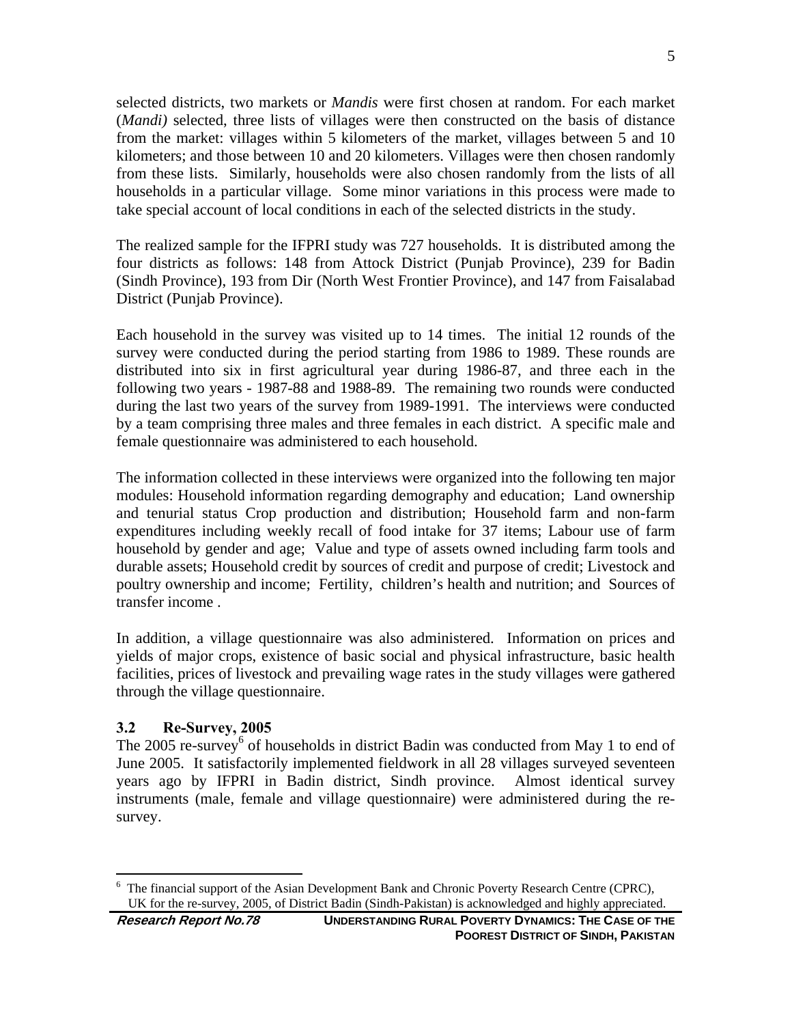selected districts, two markets or *Mandis* were first chosen at random. For each market (*Mandi)* selected, three lists of villages were then constructed on the basis of distance from the market: villages within 5 kilometers of the market*,* villages between 5 and 10 kilometers; and those between 10 and 20 kilometers. Villages were then chosen randomly from these lists. Similarly, households were also chosen randomly from the lists of all households in a particular village. Some minor variations in this process were made to take special account of local conditions in each of the selected districts in the study.

The realized sample for the IFPRI study was 727 households. It is distributed among the four districts as follows: 148 from Attock District (Punjab Province), 239 for Badin (Sindh Province), 193 from Dir (North West Frontier Province), and 147 from Faisalabad District (Punjab Province).

Each household in the survey was visited up to 14 times. The initial 12 rounds of the survey were conducted during the period starting from 1986 to 1989. These rounds are distributed into six in first agricultural year during 1986-87, and three each in the following two years - 1987-88 and 1988-89. The remaining two rounds were conducted during the last two years of the survey from 1989-1991. The interviews were conducted by a team comprising three males and three females in each district. A specific male and female questionnaire was administered to each household.

The information collected in these interviews were organized into the following ten major modules: Household information regarding demography and education; Land ownership and tenurial status Crop production and distribution; Household farm and non-farm expenditures including weekly recall of food intake for 37 items; Labour use of farm household by gender and age; Value and type of assets owned including farm tools and durable assets; Household credit by sources of credit and purpose of credit; Livestock and poultry ownership and income; Fertility, children's health and nutrition; and Sources of transfer income .

In addition, a village questionnaire was also administered. Information on prices and yields of major crops, existence of basic social and physical infrastructure, basic health facilities, prices of livestock and prevailing wage rates in the study villages were gathered through the village questionnaire.

### **3.2 Re-Survey, 2005**

The 2005 re-survey<sup>6</sup> of households in district Badin was conducted from May 1 to end of June 2005. It satisfactorily implemented fieldwork in all 28 villages surveyed seventeen years ago by IFPRI in Badin district, Sindh province. Almost identical survey instruments (male, female and village questionnaire) were administered during the resurvey.

 $\overline{a}$ 6 The financial support of the Asian Development Bank and Chronic Poverty Research Centre (CPRC), UK for the re-survey, 2005, of District Badin (Sindh-Pakistan) is acknowledged and highly appreciated.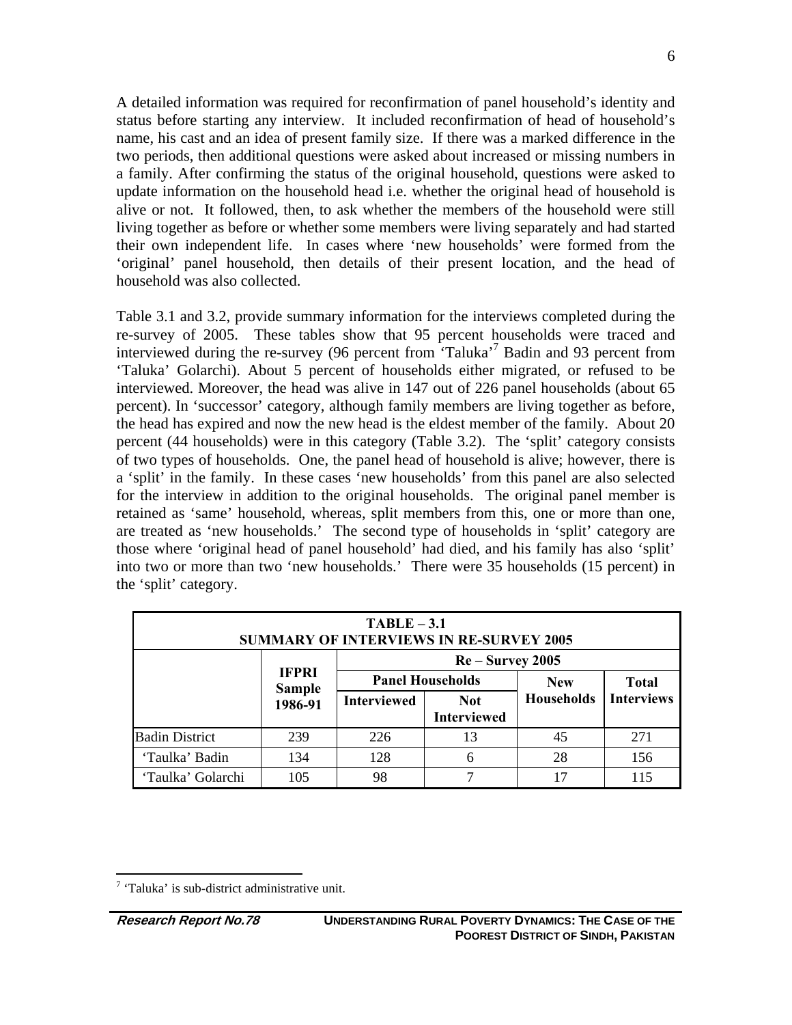A detailed information was required for reconfirmation of panel household's identity and status before starting any interview. It included reconfirmation of head of household's name, his cast and an idea of present family size. If there was a marked difference in the two periods, then additional questions were asked about increased or missing numbers in a family. After confirming the status of the original household, questions were asked to update information on the household head i.e. whether the original head of household is alive or not. It followed, then, to ask whether the members of the household were still living together as before or whether some members were living separately and had started their own independent life. In cases where 'new households' were formed from the 'original' panel household, then details of their present location, and the head of household was also collected.

Table 3.1 and 3.2, provide summary information for the interviews completed during the re-survey of 2005. These tables show that 95 percent households were traced and interviewed during the re-survey (96 percent from 'Taluka'<sup>7</sup> Badin and 93 percent from 'Taluka' Golarchi). About 5 percent of households either migrated, or refused to be interviewed. Moreover, the head was alive in 147 out of 226 panel households (about 65 percent). In 'successor' category, although family members are living together as before, the head has expired and now the new head is the eldest member of the family. About 20 percent (44 households) were in this category (Table 3.2). The 'split' category consists of two types of households. One, the panel head of household is alive; however, there is a 'split' in the family. In these cases 'new households' from this panel are also selected for the interview in addition to the original households. The original panel member is retained as 'same' household, whereas, split members from this, one or more than one, are treated as 'new households.' The second type of households in 'split' category are those where 'original head of panel household' had died, and his family has also 'split' into two or more than two 'new households.' There were 35 households (15 percent) in the 'split' category.

| $TABLE - 3.1$<br><b>SUMMARY OF INTERVIEWS IN RE-SURVEY 2005</b> |                               |                    |                                       |                   |                   |
|-----------------------------------------------------------------|-------------------------------|--------------------|---------------------------------------|-------------------|-------------------|
| $Re-Survey 2005$                                                |                               |                    |                                       |                   |                   |
|                                                                 | <b>TFPRI</b><br><b>Sample</b> |                    | <b>Panel Households</b><br><b>New</b> |                   | <b>Total</b>      |
|                                                                 | 1986-91                       | <b>Interviewed</b> | <b>Not</b><br><b>Interviewed</b>      | <b>Households</b> | <b>Interviews</b> |
| <b>Badin District</b>                                           | 239                           | 226                | 13                                    | 45                | 271               |
| 'Taulka' Badin                                                  | 134                           | 128                | 6                                     | 28                | 156               |
| 'Taulka' Golarchi                                               | 105                           | 98                 |                                       | 17                | 115               |

 $\overline{a}$  $7$  'Taluka' is sub-district administrative unit.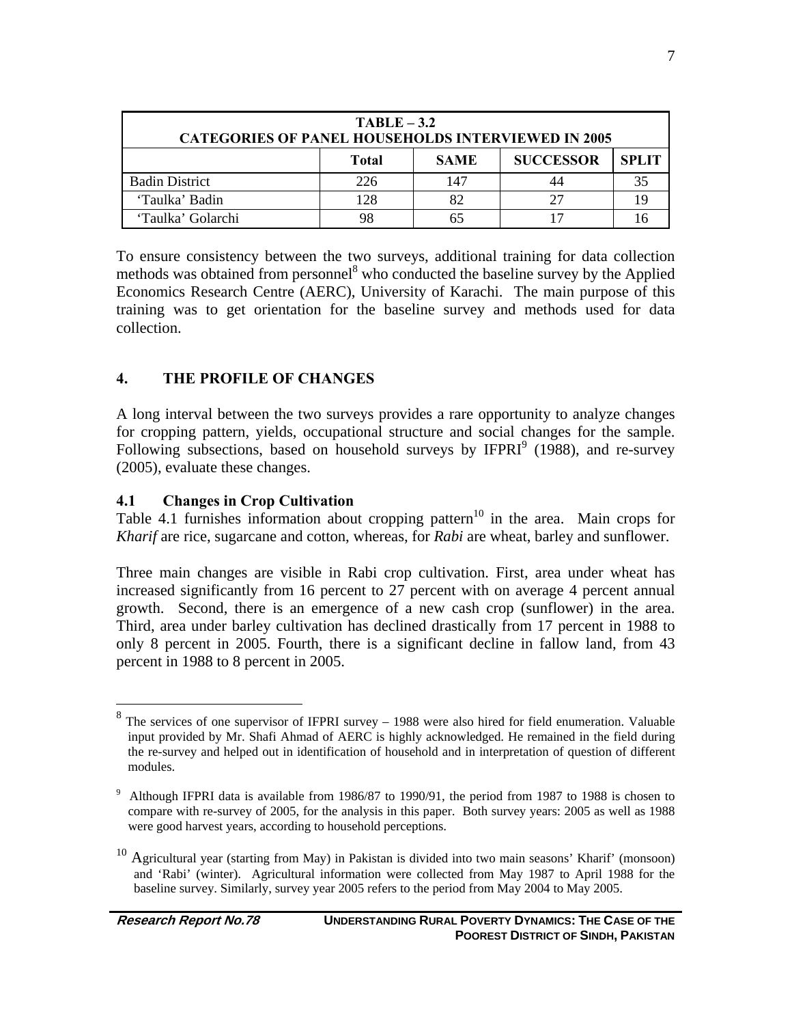| $TABLE-3.2$<br><b>CATEGORIES OF PANEL HOUSEHOLDS INTERVIEWED IN 2005</b> |     |     |    |    |  |  |
|--------------------------------------------------------------------------|-----|-----|----|----|--|--|
| <b>SUCCESSOR</b><br><b>SPLIT</b><br><b>SAME</b><br>Total                 |     |     |    |    |  |  |
| <b>Badin District</b>                                                    | 226 | 147 |    | 35 |  |  |
| 'Taulka' Badin                                                           | 128 | 82  | דר |    |  |  |
| 'Taulka' Golarchi                                                        |     |     |    |    |  |  |

To ensure consistency between the two surveys, additional training for data collection methods was obtained from personnel<sup>8</sup> who conducted the baseline survey by the Applied Economics Research Centre (AERC), University of Karachi. The main purpose of this training was to get orientation for the baseline survey and methods used for data collection.

### **4. THE PROFILE OF CHANGES**

A long interval between the two surveys provides a rare opportunity to analyze changes for cropping pattern, yields, occupational structure and social changes for the sample. Following subsections, based on household surveys by  $I\!F\!PRI<sup>9</sup>$  (1988), and re-survey (2005), evaluate these changes.

#### **4.1 Changes in Crop Cultivation**

Table 4.1 furnishes information about cropping pattern<sup>10</sup> in the area. Main crops for *Kharif* are rice, sugarcane and cotton, whereas, for *Rabi* are wheat, barley and sunflower.

Three main changes are visible in Rabi crop cultivation. First, area under wheat has increased significantly from 16 percent to 27 percent with on average 4 percent annual growth. Second, there is an emergence of a new cash crop (sunflower) in the area. Third, area under barley cultivation has declined drastically from 17 percent in 1988 to only 8 percent in 2005. Fourth, there is a significant decline in fallow land, from 43 percent in 1988 to 8 percent in 2005.

<sup>&</sup>lt;sup>8</sup> The services of one supervisor of IFPRI survey – 1988 were also hired for field enumeration. Valuable input provided by Mr. Shafi Ahmad of AERC is highly acknowledged. He remained in the field during the re-survey and helped out in identification of household and in interpretation of question of different modules.

<sup>9</sup> Although IFPRI data is available from 1986/87 to 1990/91, the period from 1987 to 1988 is chosen to compare with re-survey of 2005, for the analysis in this paper. Both survey years: 2005 as well as 1988 were good harvest years, according to household perceptions.

 $10$  Agricultural year (starting from May) in Pakistan is divided into two main seasons' Kharif' (monsoon) and 'Rabi' (winter). Agricultural information were collected from May 1987 to April 1988 for the baseline survey. Similarly, survey year 2005 refers to the period from May 2004 to May 2005.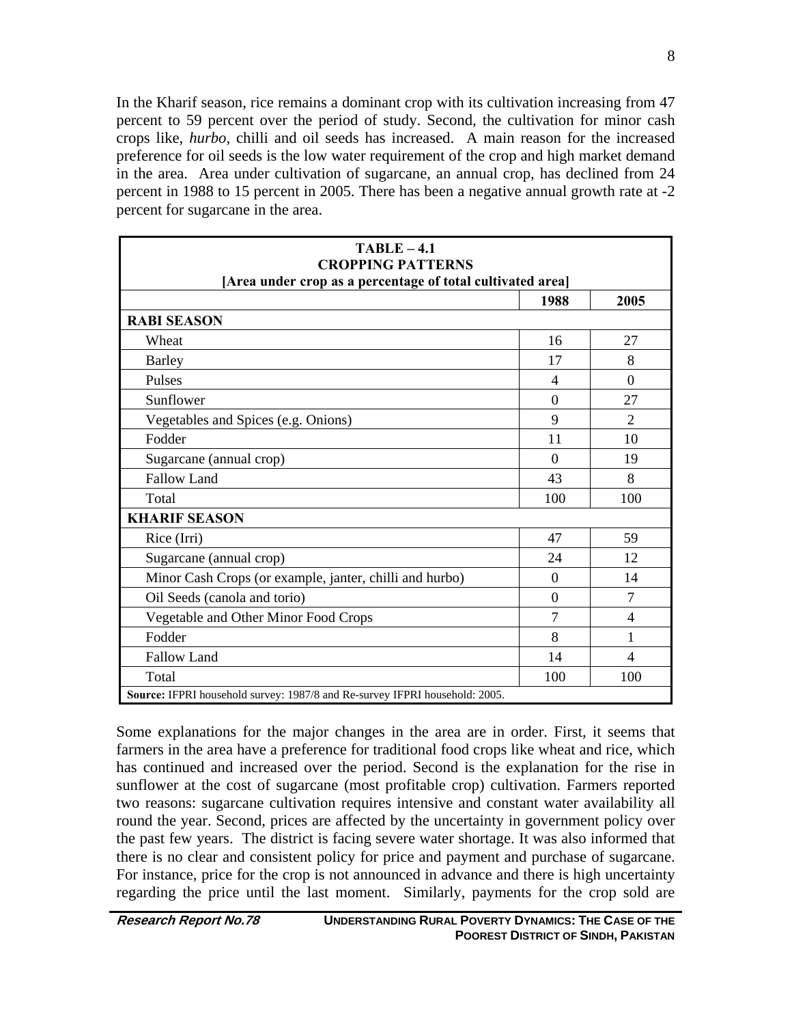In the Kharif season, rice remains a dominant crop with its cultivation increasing from 47 percent to 59 percent over the period of study. Second, the cultivation for minor cash crops like, *hurbo*, chilli and oil seeds has increased. A main reason for the increased preference for oil seeds is the low water requirement of the crop and high market demand in the area. Area under cultivation of sugarcane, an annual crop, has declined from 24 percent in 1988 to 15 percent in 2005. There has been a negative annual growth rate at -2 percent for sugarcane in the area.

| $TABLE - 4.1$<br><b>CROPPING PATTERNS</b><br>[Area under crop as a percentage of total cultivated area] |                |                |  |  |
|---------------------------------------------------------------------------------------------------------|----------------|----------------|--|--|
|                                                                                                         | 1988           | 2005           |  |  |
| <b>RABI SEASON</b>                                                                                      |                |                |  |  |
| Wheat                                                                                                   | 16             | 27             |  |  |
| <b>Barley</b>                                                                                           | 17             | 8              |  |  |
| Pulses                                                                                                  | $\overline{4}$ | $\Omega$       |  |  |
| Sunflower                                                                                               | $\Omega$       | 27             |  |  |
| Vegetables and Spices (e.g. Onions)                                                                     | 9              | $\overline{2}$ |  |  |
| Fodder                                                                                                  | 11             | 10             |  |  |
| Sugarcane (annual crop)                                                                                 | $\Omega$       | 19             |  |  |
| <b>Fallow Land</b>                                                                                      | 43             | 8              |  |  |
| Total                                                                                                   | 100            | 100            |  |  |
| <b>KHARIF SEASON</b>                                                                                    |                |                |  |  |
| Rice (Irri)                                                                                             | 47             | 59             |  |  |
| Sugarcane (annual crop)                                                                                 | 24             | 12             |  |  |
| Minor Cash Crops (or example, janter, chilli and hurbo)                                                 | $\theta$       | 14             |  |  |
| Oil Seeds (canola and torio)                                                                            | $\theta$       | $\overline{7}$ |  |  |
| Vegetable and Other Minor Food Crops                                                                    | 7              | $\overline{4}$ |  |  |
| Fodder                                                                                                  | 8              | 1              |  |  |
| <b>Fallow Land</b>                                                                                      | 14             | $\overline{4}$ |  |  |
| Total                                                                                                   | 100            | 100            |  |  |
| Source: IFPRI household survey: 1987/8 and Re-survey IFPRI household: 2005.                             |                |                |  |  |

Some explanations for the major changes in the area are in order. First, it seems that farmers in the area have a preference for traditional food crops like wheat and rice, which has continued and increased over the period. Second is the explanation for the rise in sunflower at the cost of sugarcane (most profitable crop) cultivation. Farmers reported two reasons: sugarcane cultivation requires intensive and constant water availability all round the year. Second, prices are affected by the uncertainty in government policy over the past few years. The district is facing severe water shortage. It was also informed that there is no clear and consistent policy for price and payment and purchase of sugarcane. For instance, price for the crop is not announced in advance and there is high uncertainty regarding the price until the last moment. Similarly, payments for the crop sold are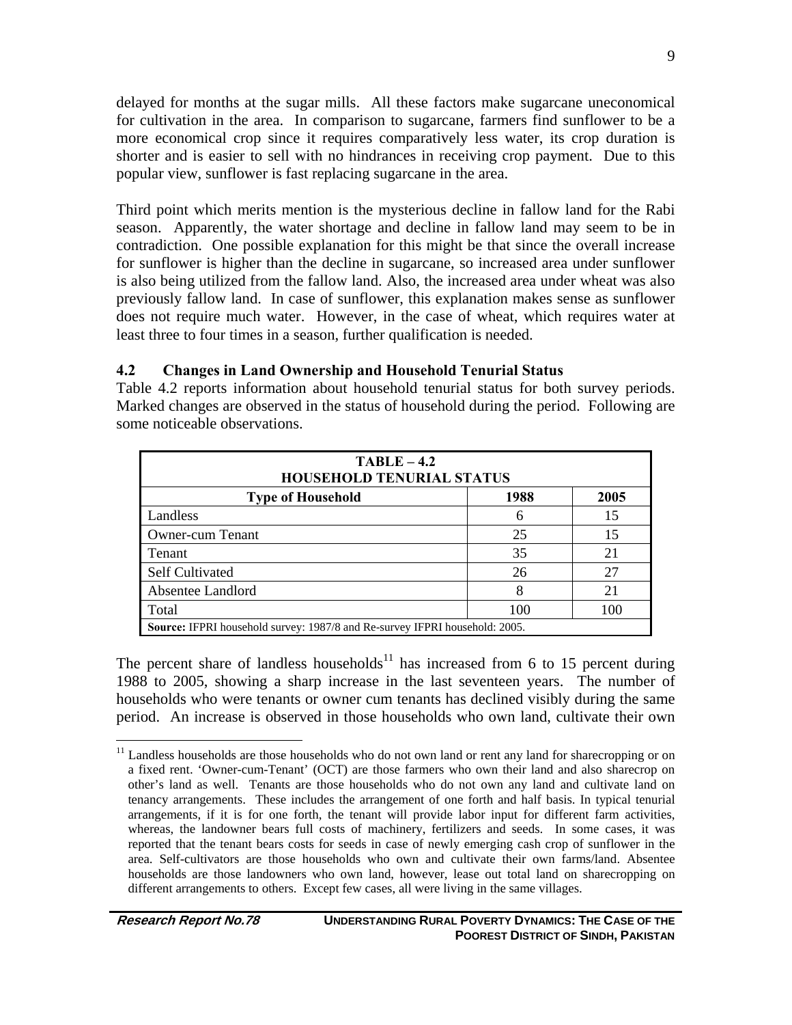delayed for months at the sugar mills. All these factors make sugarcane uneconomical for cultivation in the area. In comparison to sugarcane, farmers find sunflower to be a more economical crop since it requires comparatively less water, its crop duration is shorter and is easier to sell with no hindrances in receiving crop payment. Due to this popular view, sunflower is fast replacing sugarcane in the area.

Third point which merits mention is the mysterious decline in fallow land for the Rabi season. Apparently, the water shortage and decline in fallow land may seem to be in contradiction. One possible explanation for this might be that since the overall increase for sunflower is higher than the decline in sugarcane, so increased area under sunflower is also being utilized from the fallow land. Also, the increased area under wheat was also previously fallow land. In case of sunflower, this explanation makes sense as sunflower does not require much water. However, in the case of wheat, which requires water at least three to four times in a season, further qualification is needed.

#### **4.2 Changes in Land Ownership and Household Tenurial Status**

Table 4.2 reports information about household tenurial status for both survey periods. Marked changes are observed in the status of household during the period. Following are some noticeable observations.

| $TABLE - 4.2$<br><b>HOUSEHOLD TENURIAL STATUS</b>                                  |    |    |  |  |  |  |
|------------------------------------------------------------------------------------|----|----|--|--|--|--|
| 2005<br>1988<br><b>Type of Household</b>                                           |    |    |  |  |  |  |
| Landless                                                                           | 6  | 15 |  |  |  |  |
| <b>Owner-cum Tenant</b>                                                            | 25 | 15 |  |  |  |  |
| Tenant                                                                             | 35 | 21 |  |  |  |  |
| <b>Self Cultivated</b>                                                             | 26 | 27 |  |  |  |  |
| Absentee Landlord                                                                  | 8  | 21 |  |  |  |  |
| Total<br>100<br>100                                                                |    |    |  |  |  |  |
| <b>Source:</b> IFPRI household survey: 1987/8 and Re-survey IFPRI household: 2005. |    |    |  |  |  |  |

The percent share of landless households<sup>11</sup> has increased from 6 to 15 percent during 1988 to 2005, showing a sharp increase in the last seventeen years. The number of households who were tenants or owner cum tenants has declined visibly during the same period. An increase is observed in those households who own land, cultivate their own

 $\overline{a}$ <sup>11</sup> Landless households are those households who do not own land or rent any land for sharecropping or on a fixed rent. 'Owner-cum-Tenant' (OCT) are those farmers who own their land and also sharecrop on other's land as well. Tenants are those households who do not own any land and cultivate land on tenancy arrangements. These includes the arrangement of one forth and half basis. In typical tenurial arrangements, if it is for one forth, the tenant will provide labor input for different farm activities, whereas, the landowner bears full costs of machinery, fertilizers and seeds. In some cases, it was reported that the tenant bears costs for seeds in case of newly emerging cash crop of sunflower in the area. Self-cultivators are those households who own and cultivate their own farms/land. Absentee households are those landowners who own land, however, lease out total land on sharecropping on different arrangements to others. Except few cases, all were living in the same villages.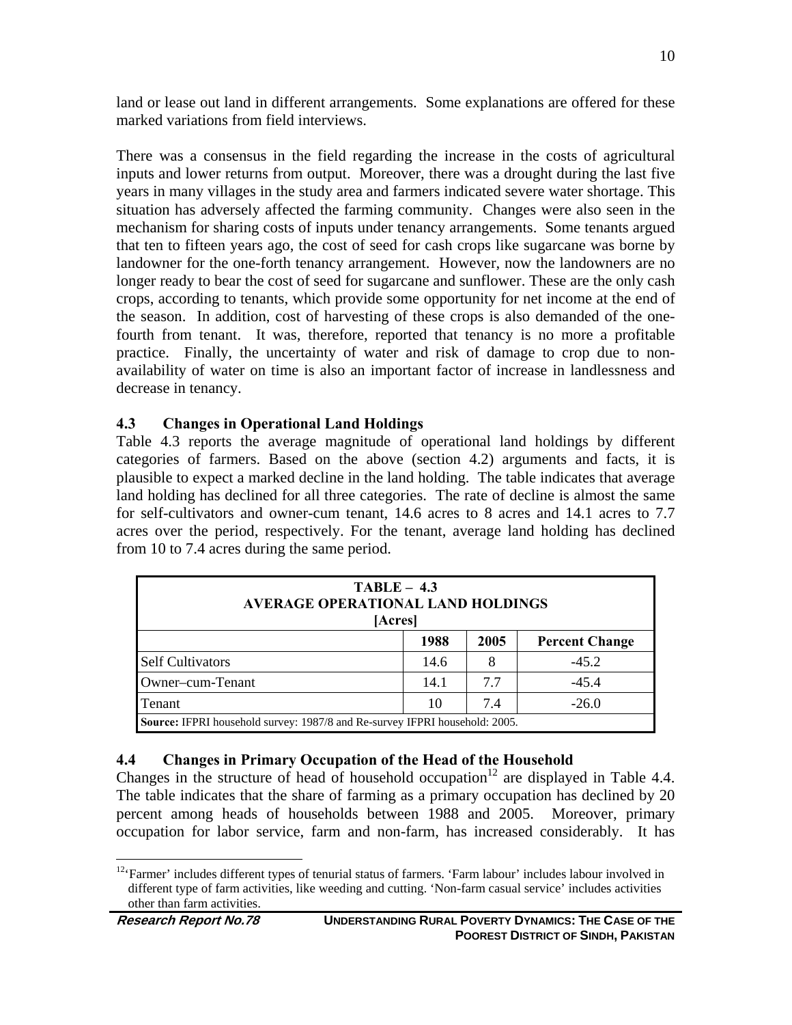land or lease out land in different arrangements. Some explanations are offered for these marked variations from field interviews.

There was a consensus in the field regarding the increase in the costs of agricultural inputs and lower returns from output. Moreover, there was a drought during the last five years in many villages in the study area and farmers indicated severe water shortage. This situation has adversely affected the farming community. Changes were also seen in the mechanism for sharing costs of inputs under tenancy arrangements. Some tenants argued that ten to fifteen years ago, the cost of seed for cash crops like sugarcane was borne by landowner for the one-forth tenancy arrangement. However, now the landowners are no longer ready to bear the cost of seed for sugarcane and sunflower. These are the only cash crops, according to tenants, which provide some opportunity for net income at the end of the season. In addition, cost of harvesting of these crops is also demanded of the onefourth from tenant. It was, therefore, reported that tenancy is no more a profitable practice. Finally, the uncertainty of water and risk of damage to crop due to nonavailability of water on time is also an important factor of increase in landlessness and decrease in tenancy.

#### **4.3 Changes in Operational Land Holdings**

Table 4.3 reports the average magnitude of operational land holdings by different categories of farmers. Based on the above (section 4.2) arguments and facts, it is plausible to expect a marked decline in the land holding. The table indicates that average land holding has declined for all three categories. The rate of decline is almost the same for self-cultivators and owner-cum tenant, 14.6 acres to 8 acres and 14.1 acres to 7.7 acres over the period, respectively. For the tenant, average land holding has declined from 10 to 7.4 acres during the same period.

| $TABLE - 4.3$<br><b>AVERAGE OPERATIONAL LAND HOLDINGS</b><br>[Acres] |                                                                             |  |         |  |  |  |
|----------------------------------------------------------------------|-----------------------------------------------------------------------------|--|---------|--|--|--|
| 1988<br>2005<br><b>Percent Change</b>                                |                                                                             |  |         |  |  |  |
| <b>Self Cultivators</b>                                              | 14.6                                                                        |  | $-45.2$ |  |  |  |
| $-45.4$<br>Owner-cum-Tenant<br>14.1<br>7.7                           |                                                                             |  |         |  |  |  |
| $-26.0$<br>7.4<br>10<br>Tenant                                       |                                                                             |  |         |  |  |  |
|                                                                      | Source: IFPRI household survey: 1987/8 and Re-survey IFPRI household: 2005. |  |         |  |  |  |

#### **4.4 Changes in Primary Occupation of the Head of the Household**

Changes in the structure of head of household occupation<sup>12</sup> are displayed in Table 4.4. The table indicates that the share of farming as a primary occupation has declined by 20 percent among heads of households between 1988 and 2005. Moreover, primary occupation for labor service, farm and non-farm, has increased considerably. It has

<sup>&</sup>lt;sup>12</sup>'Farmer' includes different types of tenurial status of farmers. 'Farm labour' includes labour involved in different type of farm activities, like weeding and cutting. 'Non-farm casual service' includes activities other than farm activities.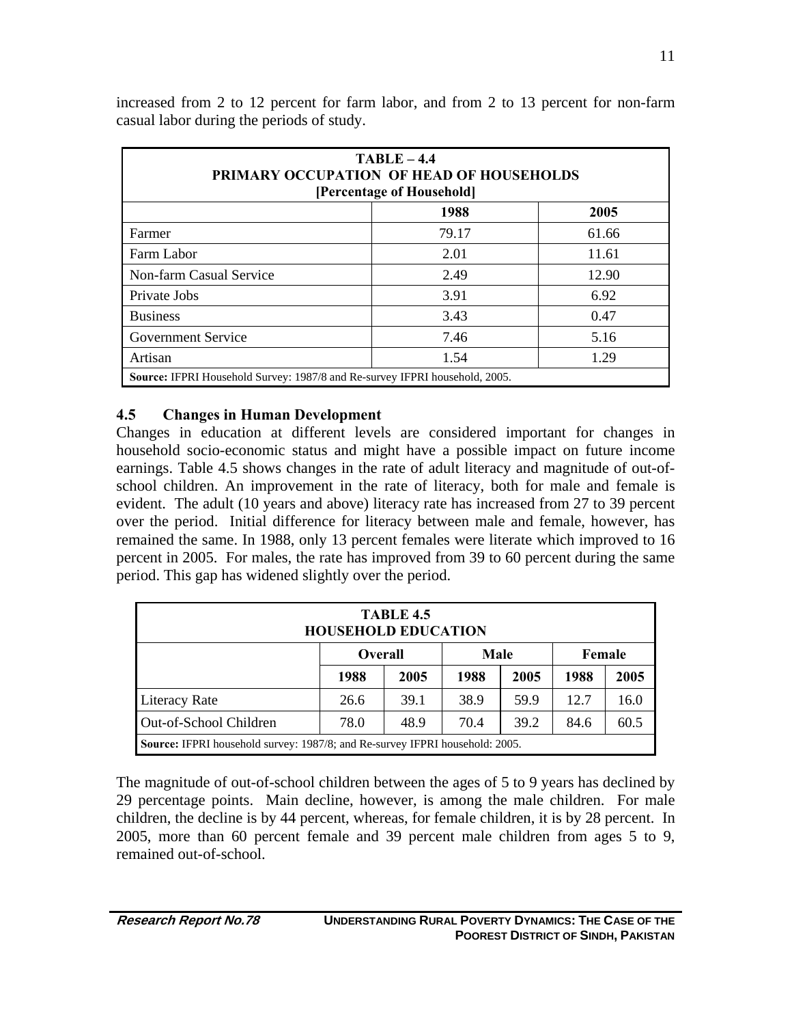| $TABLE - 4.4$<br><b>PRIMARY OCCUPATION OF HEAD OF HOUSEHOLDS</b><br>[Percentage of Household] |       |       |  |  |  |
|-----------------------------------------------------------------------------------------------|-------|-------|--|--|--|
| 1988<br>2005                                                                                  |       |       |  |  |  |
| Farmer                                                                                        | 79.17 | 61.66 |  |  |  |
| Farm Labor                                                                                    | 2.01  | 11.61 |  |  |  |
| Non-farm Casual Service                                                                       | 2.49  | 12.90 |  |  |  |
| Private Jobs                                                                                  | 3.91  | 6.92  |  |  |  |
| <b>Business</b>                                                                               | 3.43  | 0.47  |  |  |  |
| <b>Government Service</b><br>7.46<br>5.16                                                     |       |       |  |  |  |
| 1.29<br>Artisan<br>1.54                                                                       |       |       |  |  |  |
| Source: IFPRI Household Survey: 1987/8 and Re-survey IFPRI household, 2005.                   |       |       |  |  |  |

increased from 2 to 12 percent for farm labor, and from 2 to 13 percent for non-farm casual labor during the periods of study.

#### **4.5 Changes in Human Development**

Changes in education at different levels are considered important for changes in household socio-economic status and might have a possible impact on future income earnings. Table 4.5 shows changes in the rate of adult literacy and magnitude of out-ofschool children. An improvement in the rate of literacy, both for male and female is evident. The adult (10 years and above) literacy rate has increased from 27 to 39 percent over the period. Initial difference for literacy between male and female, however, has remained the same. In 1988, only 13 percent females were literate which improved to 16 percent in 2005. For males, the rate has improved from 39 to 60 percent during the same period. This gap has widened slightly over the period.

| <b>TABLE 4.5</b><br><b>HOUSEHOLD EDUCATION</b>                         |                                                                                     |      |      |      |      |      |  |
|------------------------------------------------------------------------|-------------------------------------------------------------------------------------|------|------|------|------|------|--|
| Male<br>Female<br><b>Overall</b>                                       |                                                                                     |      |      |      |      |      |  |
|                                                                        | 1988                                                                                | 2005 | 1988 | 2005 | 1988 | 2005 |  |
| 38.9<br>12.7<br>39.1<br>59.9<br>16.0<br><b>Literacy Rate</b><br>26.6   |                                                                                     |      |      |      |      |      |  |
| Out-of-School Children<br>78.0<br>39.2<br>60.5<br>48.9<br>70.4<br>84.6 |                                                                                     |      |      |      |      |      |  |
|                                                                        | <b>Source:</b> IFPRI household survey: 1987/8; and Re-survey IFPRI household: 2005. |      |      |      |      |      |  |

The magnitude of out-of-school children between the ages of 5 to 9 years has declined by 29 percentage points. Main decline, however, is among the male children. For male children, the decline is by 44 percent, whereas, for female children, it is by 28 percent. In 2005, more than 60 percent female and 39 percent male children from ages 5 to 9, remained out-of-school.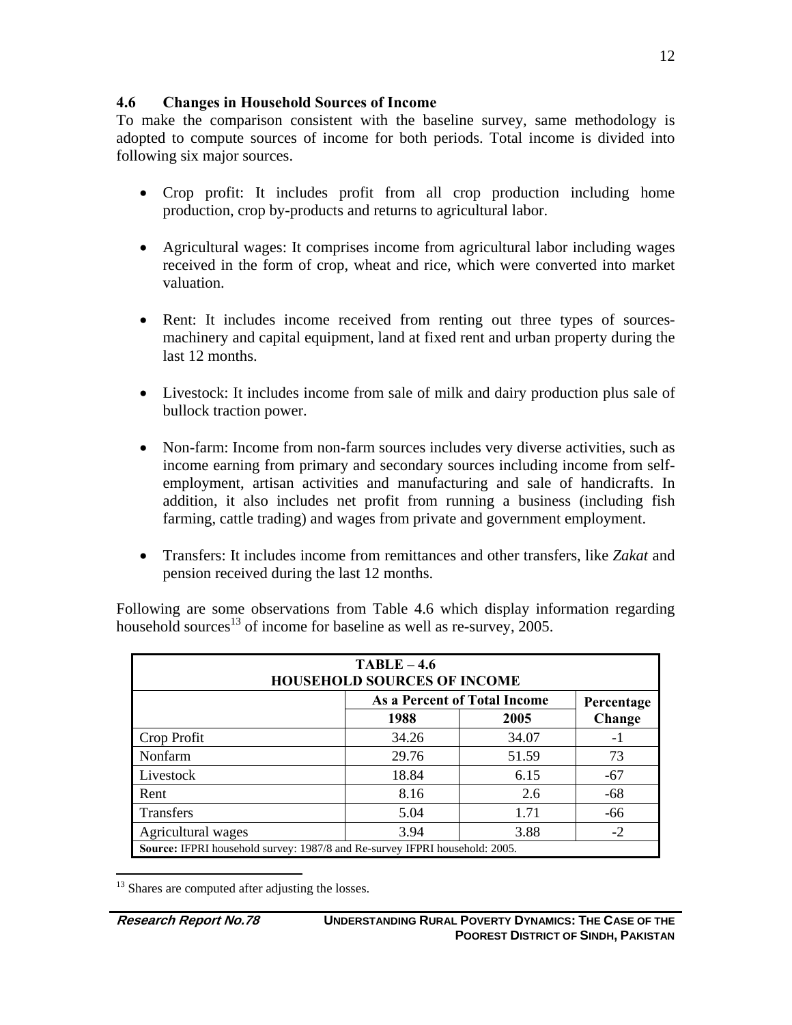### **4.6 Changes in Household Sources of Income**

To make the comparison consistent with the baseline survey, same methodology is adopted to compute sources of income for both periods. Total income is divided into following six major sources.

- Crop profit: It includes profit from all crop production including home production, crop by-products and returns to agricultural labor.
- Agricultural wages: It comprises income from agricultural labor including wages received in the form of crop, wheat and rice, which were converted into market valuation.
- Rent: It includes income received from renting out three types of sourcesmachinery and capital equipment, land at fixed rent and urban property during the last 12 months.
- Livestock: It includes income from sale of milk and dairy production plus sale of bullock traction power.
- Non-farm: Income from non-farm sources includes very diverse activities, such as income earning from primary and secondary sources including income from selfemployment, artisan activities and manufacturing and sale of handicrafts. In addition, it also includes net profit from running a business (including fish farming, cattle trading) and wages from private and government employment.
- Transfers: It includes income from remittances and other transfers, like *Zakat* and pension received during the last 12 months.

Following are some observations from Table 4.6 which display information regarding household sources<sup>13</sup> of income for baseline as well as re-survey, 2005.

| $TABLE - 4.6$<br><b>HOUSEHOLD SOURCES OF INCOME</b> |       |                              |                                                                                    |  |  |  |  |  |
|-----------------------------------------------------|-------|------------------------------|------------------------------------------------------------------------------------|--|--|--|--|--|
|                                                     |       | As a Percent of Total Income | Percentage                                                                         |  |  |  |  |  |
|                                                     | 1988  | 2005                         | Change                                                                             |  |  |  |  |  |
| Crop Profit                                         | 34.26 | 34.07                        | - 1                                                                                |  |  |  |  |  |
| Nonfarm                                             | 29.76 | 51.59                        | 73                                                                                 |  |  |  |  |  |
| Livestock                                           | 18.84 | 6.15                         | $-67$                                                                              |  |  |  |  |  |
| Rent                                                | 8.16  | 2.6                          | -68                                                                                |  |  |  |  |  |
| <b>Transfers</b>                                    | 5.04  | 1.71                         | -66                                                                                |  |  |  |  |  |
| Agricultural wages                                  | 3.94  | 3.88                         | $-2$                                                                               |  |  |  |  |  |
|                                                     |       |                              | <b>Source:</b> IFPRI household survey: 1987/8 and Re-survey IFPRI household: 2005. |  |  |  |  |  |

 $\overline{a}$ <sup>13</sup> Shares are computed after adjusting the losses.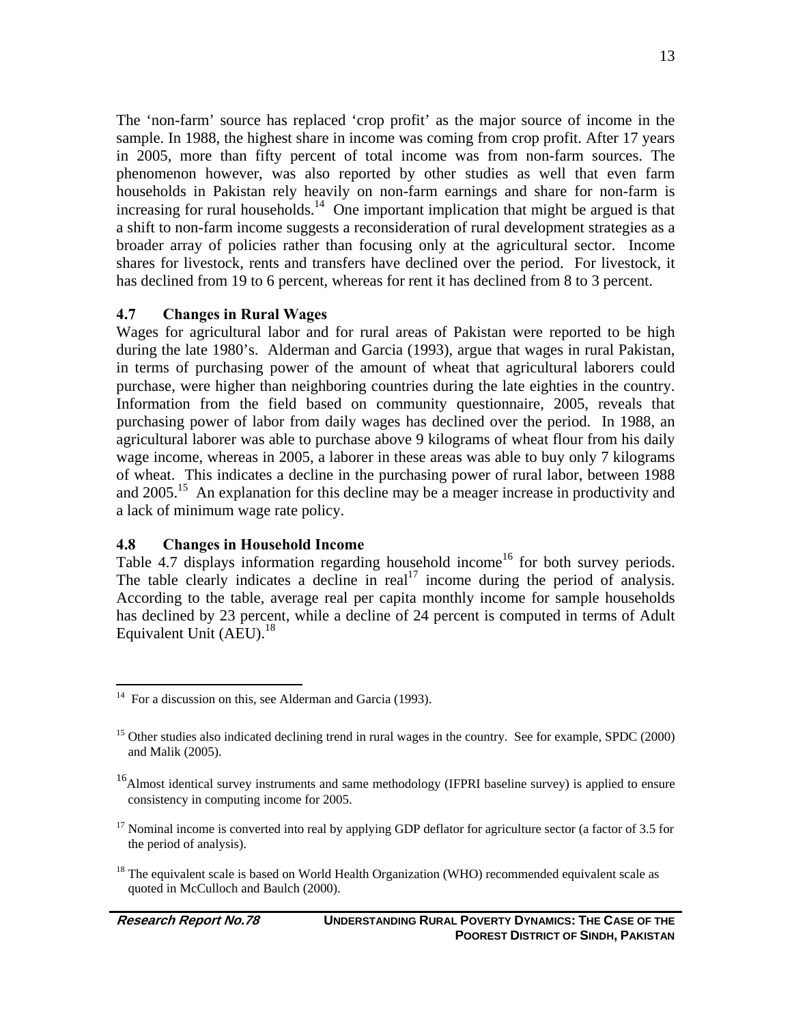The 'non-farm' source has replaced 'crop profit' as the major source of income in the sample. In 1988, the highest share in income was coming from crop profit. After 17 years in 2005, more than fifty percent of total income was from non-farm sources. The phenomenon however, was also reported by other studies as well that even farm households in Pakistan rely heavily on non-farm earnings and share for non-farm is increasing for rural households.<sup>14</sup> One important implication that might be argued is that a shift to non-farm income suggests a reconsideration of rural development strategies as a broader array of policies rather than focusing only at the agricultural sector. Income shares for livestock, rents and transfers have declined over the period. For livestock, it has declined from 19 to 6 percent, whereas for rent it has declined from 8 to 3 percent.

### **4.7 Changes in Rural Wages**

Wages for agricultural labor and for rural areas of Pakistan were reported to be high during the late 1980's. Alderman and Garcia (1993), argue that wages in rural Pakistan, in terms of purchasing power of the amount of wheat that agricultural laborers could purchase, were higher than neighboring countries during the late eighties in the country. Information from the field based on community questionnaire, 2005, reveals that purchasing power of labor from daily wages has declined over the period. In 1988, an agricultural laborer was able to purchase above 9 kilograms of wheat flour from his daily wage income, whereas in 2005, a laborer in these areas was able to buy only 7 kilograms of wheat. This indicates a decline in the purchasing power of rural labor, between 1988 and  $2005<sup>15</sup>$ . An explanation for this decline may be a meager increase in productivity and a lack of minimum wage rate policy.

#### **4.8 Changes in Household Income**

Table 4.7 displays information regarding household income<sup>16</sup> for both survey periods. The table clearly indicates a decline in  $\text{real}^{17}$  income during the period of analysis. According to the table, average real per capita monthly income for sample households has declined by 23 percent, while a decline of 24 percent is computed in terms of Adult Equivalent Unit  $(AEU)$ .<sup>18</sup>

 $14$  For a discussion on this, see Alderman and Garcia (1993).

<sup>&</sup>lt;sup>15</sup> Other studies also indicated declining trend in rural wages in the country. See for example, SPDC (2000) and Malik (2005).

<sup>&</sup>lt;sup>16</sup>Almost identical survey instruments and same methodology (IFPRI baseline survey) is applied to ensure consistency in computing income for 2005.

<sup>&</sup>lt;sup>17</sup> Nominal income is converted into real by applying GDP deflator for agriculture sector (a factor of 3.5 for the period of analysis).

<sup>&</sup>lt;sup>18</sup> The equivalent scale is based on World Health Organization (WHO) recommended equivalent scale as quoted in McCulloch and Baulch (2000).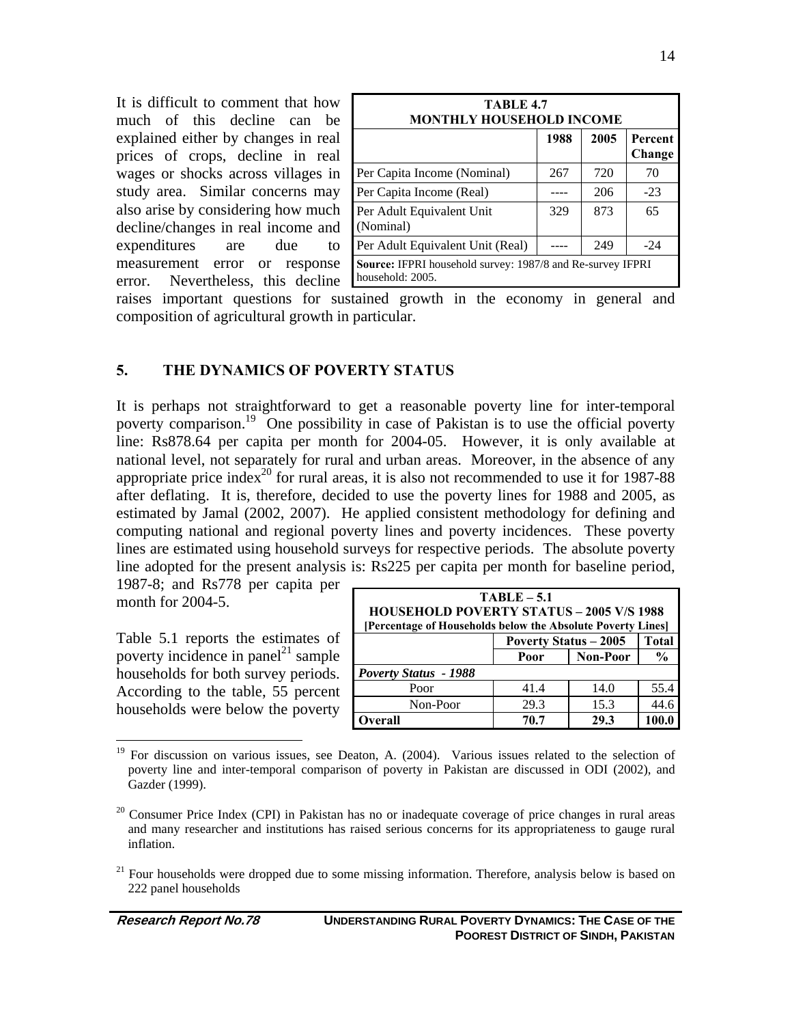It is difficult to comment that how much of this decline can be explained either by changes in real prices of crops, decline in real wages or shocks across villages in study area. Similar concerns may also arise by considering how much decline/changes in real income and expenditures are due to measurement error or response error. Nevertheless, this decline

| TABLE 4.7<br><b>MONTHLY HOUSEHOLD INCOME</b>                                          |      |      |                   |  |  |
|---------------------------------------------------------------------------------------|------|------|-------------------|--|--|
|                                                                                       | 1988 | 2005 | Percent<br>Change |  |  |
| Per Capita Income (Nominal)                                                           | 267  | 720  | 70                |  |  |
| Per Capita Income (Real)                                                              |      | 206  | $-23$             |  |  |
| Per Adult Equivalent Unit<br>(Nominal)                                                | 329  | 873  | 65                |  |  |
| Per Adult Equivalent Unit (Real)<br>249<br>$-24$                                      |      |      |                   |  |  |
| <b>Source: IFPRI</b> household survey: 1987/8 and Re-survey IFPRI<br>household: 2005. |      |      |                   |  |  |

raises important questions for sustained growth in the economy in general and composition of agricultural growth in particular.

#### **5. THE DYNAMICS OF POVERTY STATUS**

It is perhaps not straightforward to get a reasonable poverty line for inter-temporal poverty comparison.19 One possibility in case of Pakistan is to use the official poverty line: Rs878.64 per capita per month for 2004-05. However, it is only available at national level, not separately for rural and urban areas. Moreover, in the absence of any appropriate price index<sup>20</sup> for rural areas, it is also not recommended to use it for 1987-88 after deflating. It is, therefore, decided to use the poverty lines for 1988 and 2005, as estimated by Jamal (2002, 2007). He applied consistent methodology for defining and computing national and regional poverty lines and poverty incidences. These poverty lines are estimated using household surveys for respective periods. The absolute poverty line adopted for the present analysis is: Rs225 per capita per month for baseline period,

1987-8; and Rs778 per capita per month for 2004-5.

Table 5.1 reports the estimates of poverty incidence in panel<sup>21</sup> sample households for both survey periods. According to the table, 55 percent households were below the poverty

| $TABLE - 5.1$<br><b>HOUSEHOLD POVERTY STATUS - 2005 V/S 1988</b><br>[Percentage of Households below the Absolute Poverty Lines] |                                              |               |      |  |  |
|---------------------------------------------------------------------------------------------------------------------------------|----------------------------------------------|---------------|------|--|--|
|                                                                                                                                 | <b>Total</b><br><b>Poverty Status - 2005</b> |               |      |  |  |
|                                                                                                                                 | Poor                                         | $\frac{0}{0}$ |      |  |  |
| <b>Poverty Status - 1988</b>                                                                                                    |                                              |               |      |  |  |
| Poor                                                                                                                            | 41.4                                         | 14.0          | 55.4 |  |  |
| Non-Poor                                                                                                                        | 29.3                                         | 15.3          | 44.6 |  |  |
| Overall                                                                                                                         | 70.7                                         | 29.3          |      |  |  |

<sup>&</sup>lt;sup>19</sup> For discussion on various issues, see Deaton, A. (2004). Various issues related to the selection of poverty line and inter-temporal comparison of poverty in Pakistan are discussed in ODI (2002), and Gazder (1999).

<sup>&</sup>lt;sup>20</sup> Consumer Price Index (CPI) in Pakistan has no or inadequate coverage of price changes in rural areas and many researcher and institutions has raised serious concerns for its appropriateness to gauge rural inflation.

 $21$  Four households were dropped due to some missing information. Therefore, analysis below is based on 222 panel households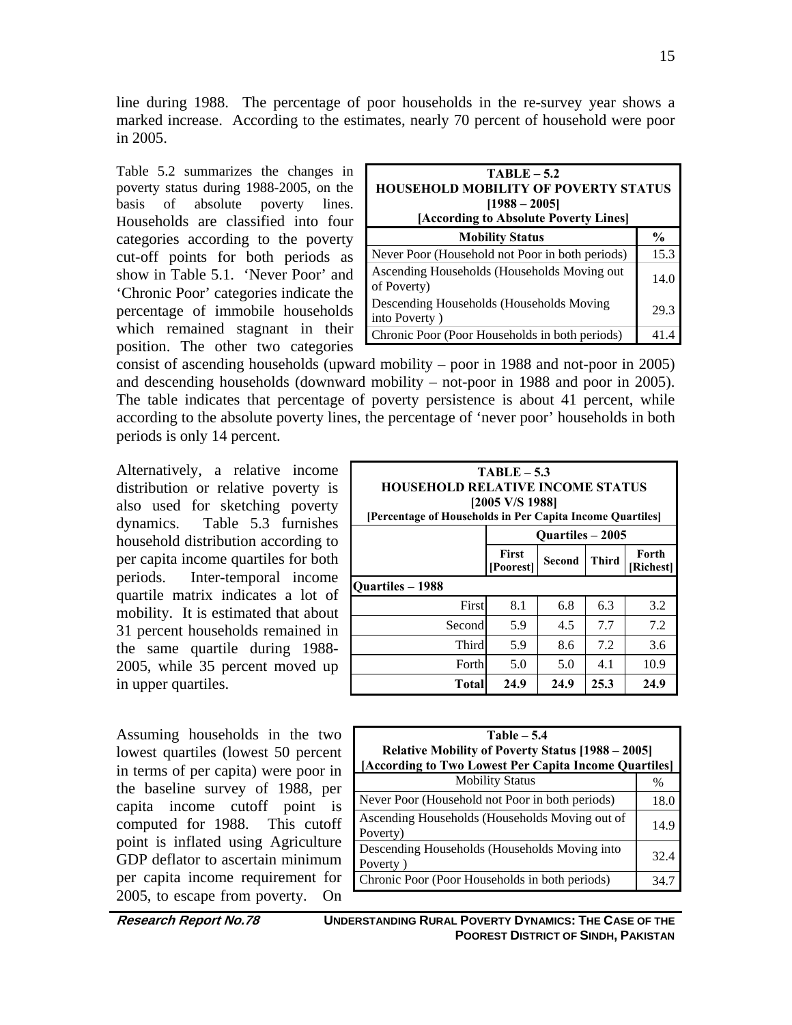line during 1988. The percentage of poor households in the re-survey year shows a marked increase. According to the estimates, nearly 70 percent of household were poor in 2005.

Table 5.2 summarizes the changes in poverty status during 1988-2005, on the basis of absolute poverty lines. Households are classified into four categories according to the poverty cut-off points for both periods as show in Table 5.1. 'Never Poor' and 'Chronic Poor' categories indicate the percentage of immobile households which remained stagnant in their position. The other two categories

| $TABLE - 5.2$<br><b>HOUSEHOLD MOBILITY OF POVERTY STATUS</b><br>$[1988 - 2005]$<br>[According to Absolute Poverty Lines] |               |  |  |  |
|--------------------------------------------------------------------------------------------------------------------------|---------------|--|--|--|
| <b>Mobility Status</b>                                                                                                   | $\frac{0}{0}$ |  |  |  |
| Never Poor (Household not Poor in both periods)                                                                          | 15.3          |  |  |  |
| Ascending Households (Households Moving out<br>of Poverty)                                                               | 14.0          |  |  |  |
| Descending Households (Households Moving<br>into Poverty)                                                                | 29.3          |  |  |  |
| Chronic Poor (Poor Households in both periods)                                                                           | 41            |  |  |  |

consist of ascending households (upward mobility – poor in 1988 and not-poor in 2005) and descending households (downward mobility – not-poor in 1988 and poor in 2005). The table indicates that percentage of poverty persistence is about 41 percent, while according to the absolute poverty lines, the percentage of 'never poor' households in both periods is only 14 percent.

Alternatively, a relative income distribution or relative poverty is also used for sketching poverty dynamics. Table 5.3 furnishes household distribution according to per capita income quartiles for both periods. Inter-temporal income quartile matrix indicates a lot of mobility. It is estimated that about 31 percent households remained in the same quartile during 1988- 2005, while 35 percent moved up in upper quartiles.

Assuming households in the two lowest quartiles (lowest 50 percent in terms of per capita) were poor in the baseline survey of 1988, per capita income cutoff point is computed for 1988. This cutoff point is inflated using Agriculture GDP deflator to ascertain minimum per capita income requirement for 2005, to escape from poverty. On

| $TABLE - 5.3$<br><b>HOUSEHOLD RELATIVE INCOME STATUS</b><br>[2005 V/S 1988]<br>[Percentage of Households in Per Capita Income Quartiles] |     |                         |     |     |  |  |
|------------------------------------------------------------------------------------------------------------------------------------------|-----|-------------------------|-----|-----|--|--|
|                                                                                                                                          |     | <b>Ouartiles – 2005</b> |     |     |  |  |
| <b>First</b><br>Forth<br><b>Third</b><br><b>Second</b><br>[Poorest]<br>[Richest]                                                         |     |                         |     |     |  |  |
| Ouartiles – 1988                                                                                                                         |     |                         |     |     |  |  |
| First                                                                                                                                    | 8.1 | 6.8                     | 6.3 | 3.2 |  |  |
| Second                                                                                                                                   | 5.9 | 4.5                     | 7.7 | 7.2 |  |  |
| Third                                                                                                                                    | 5.9 | 8.6                     | 7.2 | 3.6 |  |  |
| 5.0<br>4.1<br>10.9<br>Forth<br>5.0                                                                                                       |     |                         |     |     |  |  |
| 24.9<br>24.9<br>25.3<br>24.9<br>Total                                                                                                    |     |                         |     |     |  |  |

| $Table - 5.4$<br>Relative Mobility of Poverty Status [1988 – 2005]<br>[According to Two Lowest Per Capita Income Quartiles] |               |  |  |
|-----------------------------------------------------------------------------------------------------------------------------|---------------|--|--|
| <b>Mobility Status</b>                                                                                                      | $\frac{0}{0}$ |  |  |
| Never Poor (Household not Poor in both periods)                                                                             | 18.0          |  |  |
| Ascending Households (Households Moving out of<br>Poverty)                                                                  | 14.9          |  |  |
| Descending Households (Households Moving into<br>Poverty)                                                                   | 32.4          |  |  |
| Chronic Poor (Poor Households in both periods)                                                                              | 34.7          |  |  |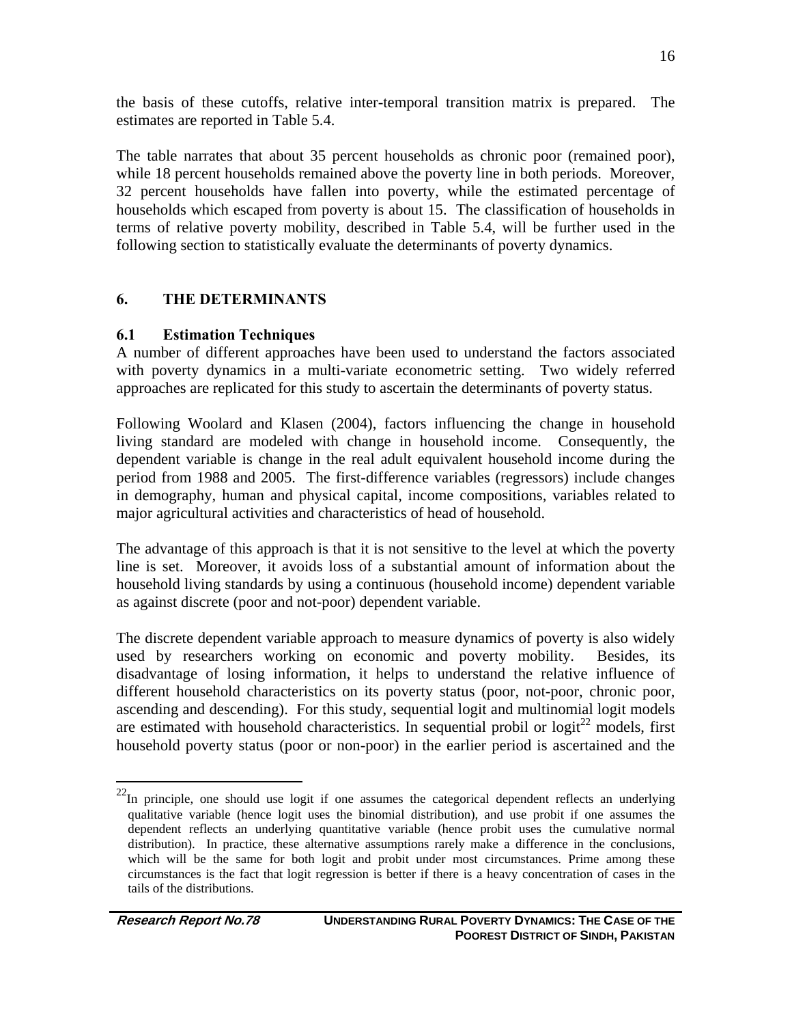the basis of these cutoffs, relative inter-temporal transition matrix is prepared. The estimates are reported in Table 5.4.

The table narrates that about 35 percent households as chronic poor (remained poor), while 18 percent households remained above the poverty line in both periods. Moreover, 32 percent households have fallen into poverty, while the estimated percentage of households which escaped from poverty is about 15. The classification of households in terms of relative poverty mobility, described in Table 5.4, will be further used in the following section to statistically evaluate the determinants of poverty dynamics.

## **6. THE DETERMINANTS**

## **6.1 Estimation Techniques**

A number of different approaches have been used to understand the factors associated with poverty dynamics in a multi-variate econometric setting. Two widely referred approaches are replicated for this study to ascertain the determinants of poverty status.

Following Woolard and Klasen (2004), factors influencing the change in household living standard are modeled with change in household income. Consequently, the dependent variable is change in the real adult equivalent household income during the period from 1988 and 2005. The first-difference variables (regressors) include changes in demography, human and physical capital, income compositions, variables related to major agricultural activities and characteristics of head of household.

The advantage of this approach is that it is not sensitive to the level at which the poverty line is set. Moreover, it avoids loss of a substantial amount of information about the household living standards by using a continuous (household income) dependent variable as against discrete (poor and not-poor) dependent variable.

The discrete dependent variable approach to measure dynamics of poverty is also widely used by researchers working on economic and poverty mobility. Besides, its disadvantage of losing information, it helps to understand the relative influence of different household characteristics on its poverty status (poor, not-poor, chronic poor, ascending and descending). For this study, sequential logit and multinomial logit models are estimated with household characteristics. In sequential probil or logit<sup>22</sup> models, first household poverty status (poor or non-poor) in the earlier period is ascertained and the

 $^{22}$ In principle, one should use logit if one assumes the categorical dependent reflects an underlying qualitative variable (hence logit uses the binomial distribution), and use probit if one assumes the dependent reflects an underlying quantitative variable (hence probit uses the cumulative normal distribution). In practice, these alternative assumptions rarely make a difference in the conclusions, which will be the same for both logit and probit under most circumstances. Prime among these circumstances is the fact that logit regression is better if there is a heavy concentration of cases in the tails of the distributions.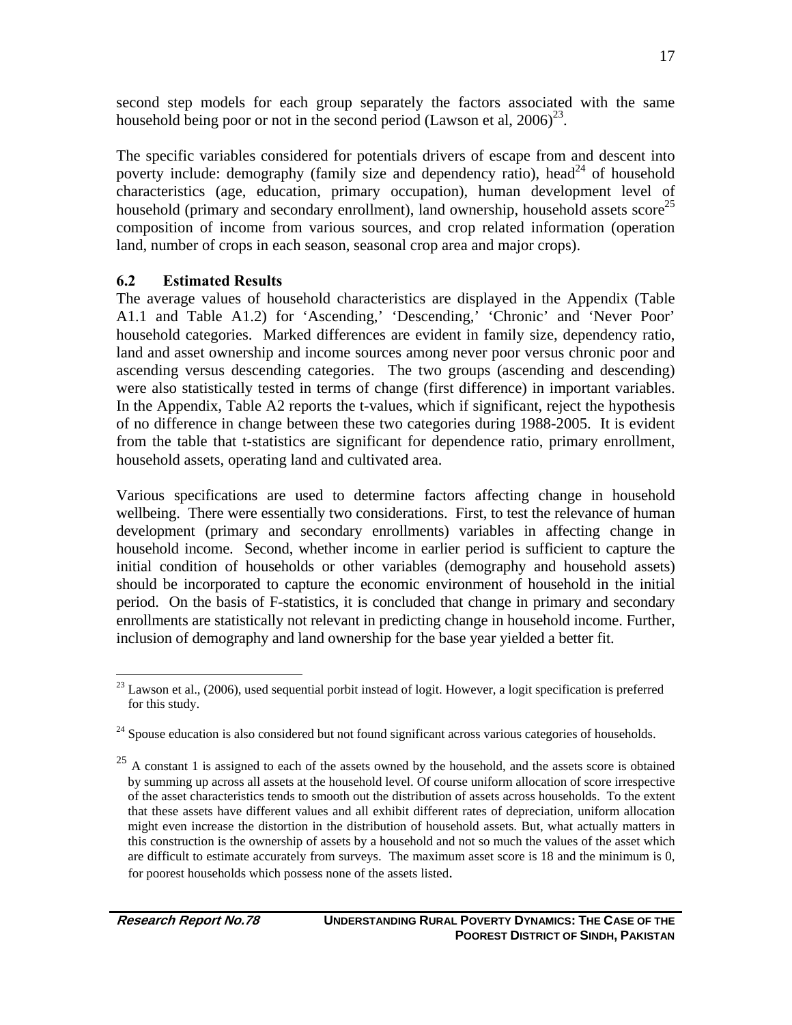second step models for each group separately the factors associated with the same household being poor or not in the second period (Lawson et al,  $2006^{23}$ .

The specific variables considered for potentials drivers of escape from and descent into poverty include: demography (family size and dependency ratio), head<sup>24</sup> of household characteristics (age, education, primary occupation), human development level of household (primary and secondary enrollment), land ownership, household assets score<sup>25</sup> composition of income from various sources, and crop related information (operation land, number of crops in each season, seasonal crop area and major crops).

### **6.2 Estimated Results**

The average values of household characteristics are displayed in the Appendix (Table A1.1 and Table A1.2) for 'Ascending,' 'Descending,' 'Chronic' and 'Never Poor' household categories. Marked differences are evident in family size, dependency ratio, land and asset ownership and income sources among never poor versus chronic poor and ascending versus descending categories. The two groups (ascending and descending) were also statistically tested in terms of change (first difference) in important variables. In the Appendix, Table A2 reports the t-values, which if significant, reject the hypothesis of no difference in change between these two categories during 1988-2005. It is evident from the table that t-statistics are significant for dependence ratio, primary enrollment, household assets, operating land and cultivated area.

Various specifications are used to determine factors affecting change in household wellbeing. There were essentially two considerations. First, to test the relevance of human development (primary and secondary enrollments) variables in affecting change in household income. Second, whether income in earlier period is sufficient to capture the initial condition of households or other variables (demography and household assets) should be incorporated to capture the economic environment of household in the initial period. On the basis of F-statistics, it is concluded that change in primary and secondary enrollments are statistically not relevant in predicting change in household income. Further, inclusion of demography and land ownership for the base year yielded a better fit.

<sup>1</sup>  $^{23}$  Lawson et al., (2006), used sequential porbit instead of logit. However, a logit specification is preferred for this study.

 $24$  Spouse education is also considered but not found significant across various categories of households.

 $25$  A constant 1 is assigned to each of the assets owned by the household, and the assets score is obtained by summing up across all assets at the household level. Of course uniform allocation of score irrespective of the asset characteristics tends to smooth out the distribution of assets across households. To the extent that these assets have different values and all exhibit different rates of depreciation, uniform allocation might even increase the distortion in the distribution of household assets. But, what actually matters in this construction is the ownership of assets by a household and not so much the values of the asset which are difficult to estimate accurately from surveys. The maximum asset score is 18 and the minimum is 0, for poorest households which possess none of the assets listed.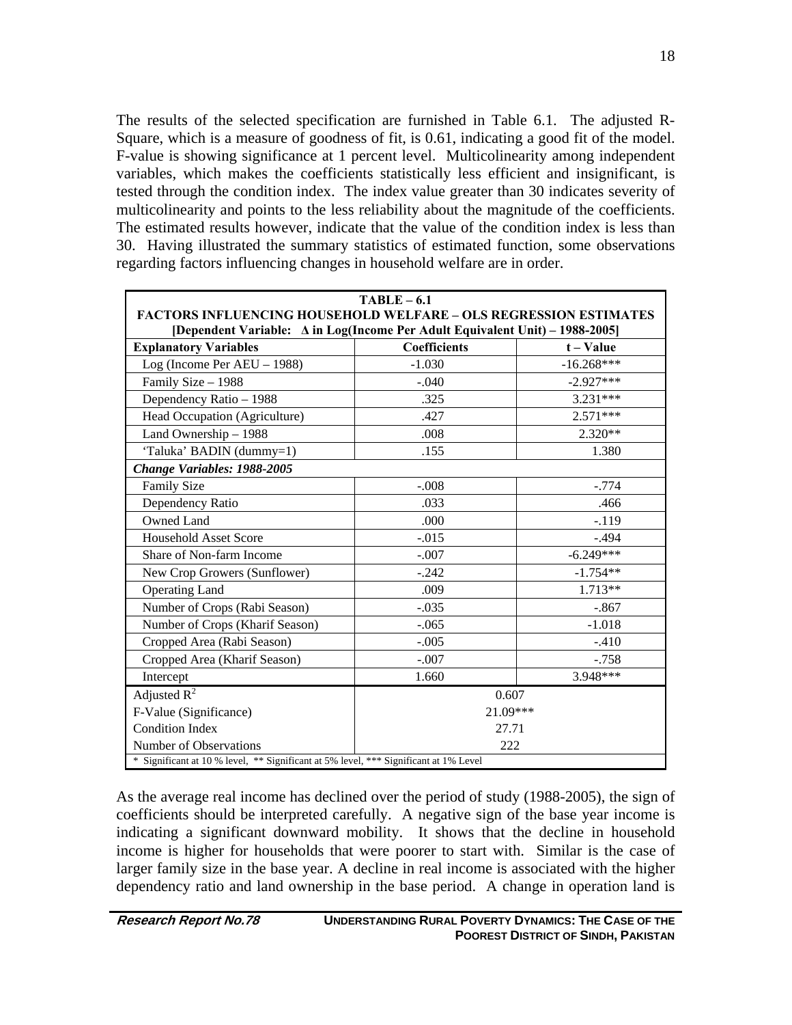The results of the selected specification are furnished in Table 6.1. The adjusted R-Square, which is a measure of goodness of fit, is 0.61, indicating a good fit of the model. F-value is showing significance at 1 percent level. Multicolinearity among independent variables, which makes the coefficients statistically less efficient and insignificant, is tested through the condition index. The index value greater than 30 indicates severity of multicolinearity and points to the less reliability about the magnitude of the coefficients. The estimated results however, indicate that the value of the condition index is less than 30. Having illustrated the summary statistics of estimated function, some observations regarding factors influencing changes in household welfare are in order.

| $TABLE - 6.1$                                                                                                                                             |                        |              |  |  |  |  |
|-----------------------------------------------------------------------------------------------------------------------------------------------------------|------------------------|--------------|--|--|--|--|
| <b>FACTORS INFLUENCING HOUSEHOLD WELFARE - OLS REGRESSION ESTIMATES</b>                                                                                   |                        |              |  |  |  |  |
| [Dependent Variable: $\Delta$ in Log(Income Per Adult Equivalent Unit) – 1988-2005]<br><b>Coefficients</b><br><b>Explanatory Variables</b><br>$t - Value$ |                        |              |  |  |  |  |
| Log (Income Per $AEU - 1988$ )                                                                                                                            | $-1.030$               | $-16.268***$ |  |  |  |  |
| Family Size - 1988                                                                                                                                        | $-.040$                | $-2.927***$  |  |  |  |  |
| Dependency Ratio - 1988                                                                                                                                   | .325                   | 3.231***     |  |  |  |  |
| Head Occupation (Agriculture)                                                                                                                             | .427                   | $2.571***$   |  |  |  |  |
| Land Ownership - 1988                                                                                                                                     | .008                   | $2.320**$    |  |  |  |  |
| 'Taluka' BADIN (dummy=1)                                                                                                                                  | .155                   | 1.380        |  |  |  |  |
| Change Variables: 1988-2005                                                                                                                               |                        |              |  |  |  |  |
| <b>Family Size</b>                                                                                                                                        | $-.008$                | $-.774$      |  |  |  |  |
| Dependency Ratio                                                                                                                                          | .033                   | .466         |  |  |  |  |
| Owned Land                                                                                                                                                | .000                   | $-119$       |  |  |  |  |
| <b>Household Asset Score</b>                                                                                                                              | $-0.015$               | $-.494$      |  |  |  |  |
| Share of Non-farm Income                                                                                                                                  | $-6.249***$<br>$-.007$ |              |  |  |  |  |
| New Crop Growers (Sunflower)                                                                                                                              | $-.242$                | $-1.754**$   |  |  |  |  |
| <b>Operating Land</b>                                                                                                                                     | .009                   | 1.713**      |  |  |  |  |
| Number of Crops (Rabi Season)                                                                                                                             | $-.035$                | $-.867$      |  |  |  |  |
| Number of Crops (Kharif Season)                                                                                                                           | $-.065$                | $-1.018$     |  |  |  |  |
| Cropped Area (Rabi Season)                                                                                                                                | $-.005$                | $-.410$      |  |  |  |  |
| Cropped Area (Kharif Season)                                                                                                                              | $-.007$                | $-.758$      |  |  |  |  |
| Intercept                                                                                                                                                 | 1.660                  | 3.948***     |  |  |  |  |
| Adjusted $R^2$                                                                                                                                            | 0.607                  |              |  |  |  |  |
| F-Value (Significance)                                                                                                                                    | 21.09***               |              |  |  |  |  |
| <b>Condition Index</b>                                                                                                                                    | 27.71                  |              |  |  |  |  |
| Number of Observations<br>222                                                                                                                             |                        |              |  |  |  |  |
| * Significant at 10 % level, ** Significant at 5% level, *** Significant at 1% Level                                                                      |                        |              |  |  |  |  |

As the average real income has declined over the period of study (1988-2005), the sign of coefficients should be interpreted carefully. A negative sign of the base year income is indicating a significant downward mobility. It shows that the decline in household income is higher for households that were poorer to start with. Similar is the case of larger family size in the base year. A decline in real income is associated with the higher dependency ratio and land ownership in the base period. A change in operation land is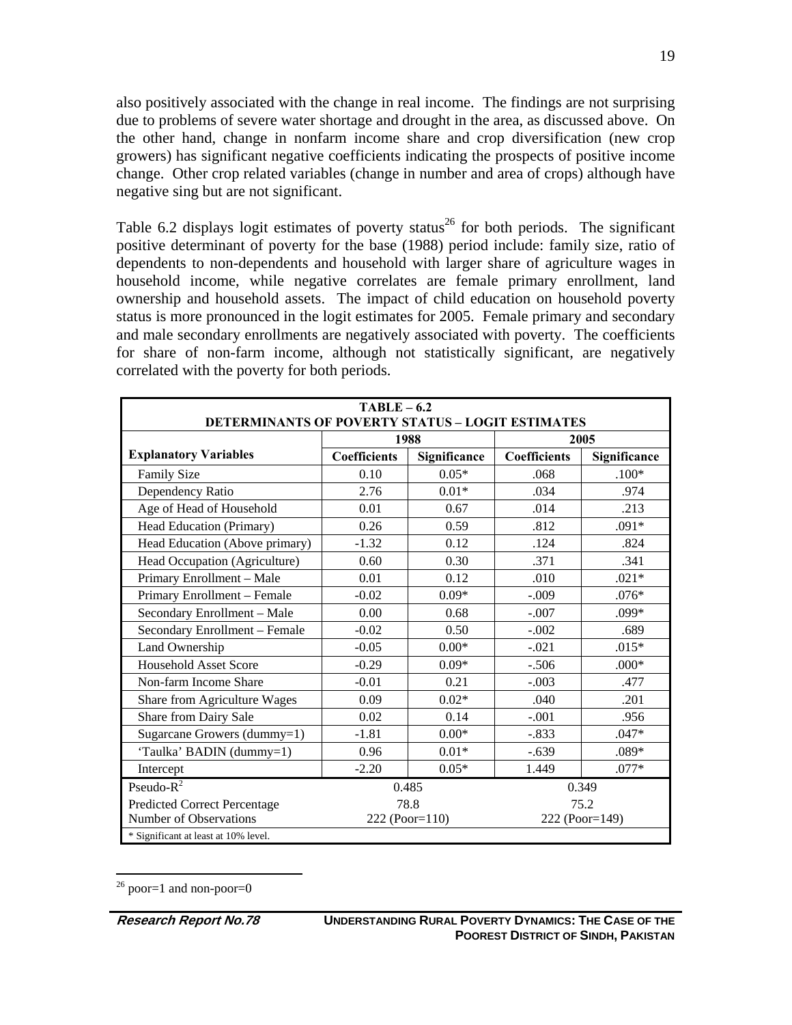also positively associated with the change in real income. The findings are not surprising due to problems of severe water shortage and drought in the area, as discussed above. On the other hand, change in nonfarm income share and crop diversification (new crop growers) has significant negative coefficients indicating the prospects of positive income change. Other crop related variables (change in number and area of crops) although have negative sing but are not significant.

Table 6.2 displays logit estimates of poverty status<sup>26</sup> for both periods. The significant positive determinant of poverty for the base (1988) period include: family size, ratio of dependents to non-dependents and household with larger share of agriculture wages in household income, while negative correlates are female primary enrollment, land ownership and household assets. The impact of child education on household poverty status is more pronounced in the logit estimates for 2005. Female primary and secondary and male secondary enrollments are negatively associated with poverty. The coefficients for share of non-farm income, although not statistically significant, are negatively correlated with the poverty for both periods.

| $TABLE - 6.2$<br><b>DETERMINANTS OF POVERTY STATUS - LOGIT ESTIMATES</b> |                     |              |                |              |  |
|--------------------------------------------------------------------------|---------------------|--------------|----------------|--------------|--|
|                                                                          | 1988                |              | 2005           |              |  |
| <b>Explanatory Variables</b>                                             | <b>Coefficients</b> | Significance | Coefficients   | Significance |  |
| <b>Family Size</b>                                                       | 0.10                | $0.05*$      | .068           | $.100*$      |  |
| Dependency Ratio                                                         | 2.76                | $0.01*$      | .034           | .974         |  |
| Age of Head of Household                                                 | 0.01                | 0.67         | .014           | .213         |  |
| Head Education (Primary)                                                 | 0.26                | 0.59         | .812           | $.091*$      |  |
| Head Education (Above primary)                                           | $-1.32$             | 0.12         | .124           | .824         |  |
| Head Occupation (Agriculture)                                            | 0.60                | 0.30         | .371           | .341         |  |
| Primary Enrollment - Male                                                | 0.01                | 0.12         | .010           | $.021*$      |  |
| Primary Enrollment - Female                                              | $-0.02$             | $0.09*$      | $-.009$        | $.076*$      |  |
| Secondary Enrollment - Male                                              | 0.00                | 0.68         | $-.007$        | $.099*$      |  |
| Secondary Enrollment - Female                                            | $-0.02$             | 0.50         | $-.002$        | .689         |  |
| Land Ownership                                                           | $-0.05$             | $0.00*$      | $-.021$        | $.015*$      |  |
| <b>Household Asset Score</b>                                             | $-0.29$             | $0.09*$      | $-.506$        | $.000*$      |  |
| Non-farm Income Share                                                    | $-0.01$             | 0.21         | $-.003$        | .477         |  |
| Share from Agriculture Wages                                             | 0.09                | $0.02*$      | .040           | .201         |  |
| Share from Dairy Sale                                                    | 0.02                | 0.14         | $-.001$        | .956         |  |
| Sugarcane Growers (dummy=1)                                              | $-1.81$             | $0.00*$      | $-.833$        | $.047*$      |  |
| 'Taulka' BADIN (dummy=1)                                                 | 0.96                | $0.01*$      | $-.639$        | $.089*$      |  |
| Intercept                                                                | $-2.20$             | $0.05*$      | 1.449          | $.077*$      |  |
| Pseudo- $R^2$                                                            | 0.485               |              | 0.349          |              |  |
| Predicted Correct Percentage                                             | 78.8                |              | 75.2           |              |  |
| Number of Observations                                                   | 222 (Poor=110)      |              | 222 (Poor=149) |              |  |
| * Significant at least at 10% level.                                     |                     |              |                |              |  |

 $26$  poor=1 and non-poor=0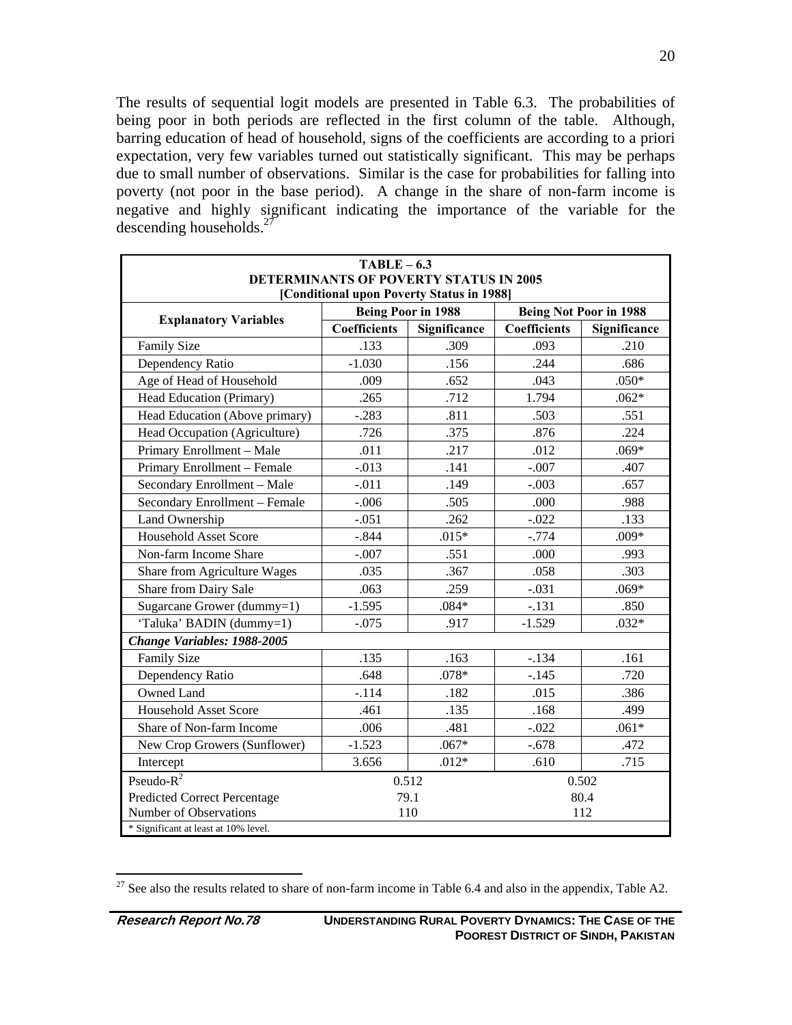The results of sequential logit models are presented in Table 6.3. The probabilities of being poor in both periods are reflected in the first column of the table. Although, barring education of head of household, signs of the coefficients are according to a priori expectation, very few variables turned out statistically significant. This may be perhaps due to small number of observations. Similar is the case for probabilities for falling into poverty (not poor in the base period). A change in the share of non-farm income is negative and highly significant indicating the importance of the variable for the descending households. $27$ 

| $TABLE - 6.3$<br><b>DETERMINANTS OF POVERTY STATUS IN 2005</b> |                           |              |                               |              |  |
|----------------------------------------------------------------|---------------------------|--------------|-------------------------------|--------------|--|
| [Conditional upon Poverty Status in 1988]                      |                           |              |                               |              |  |
|                                                                | <b>Being Poor in 1988</b> |              | <b>Being Not Poor in 1988</b> |              |  |
| <b>Explanatory Variables</b>                                   | <b>Coefficients</b>       | Significance | <b>Coefficients</b>           | Significance |  |
| Family Size                                                    | .133                      | .309         | .093                          | .210         |  |
| Dependency Ratio                                               | $-1.030$                  | .156         | .244                          | .686         |  |
| Age of Head of Household                                       | .009                      | .652         | .043                          | $.050*$      |  |
| Head Education (Primary)                                       | .265                      | .712         | 1.794                         | $.062*$      |  |
| Head Education (Above primary)                                 | $-.283$                   | .811         | .503                          | .551         |  |
| Head Occupation (Agriculture)                                  | .726                      | .375         | .876                          | .224         |  |
| Primary Enrollment - Male                                      | .011                      | .217         | .012                          | $.069*$      |  |
| Primary Enrollment - Female                                    | $-.013$                   | .141         | $-.007$                       | .407         |  |
| Secondary Enrollment - Male                                    | $-.011$                   | .149         | $-.003$                       | .657         |  |
| Secondary Enrollment - Female                                  | $-.006$                   | .505         | .000                          | .988         |  |
| Land Ownership                                                 | $-.051$                   | .262         | $-.022$                       | .133         |  |
| <b>Household Asset Score</b>                                   | $-.844$                   | $.015*$      | $-.774$                       | $.009*$      |  |
| Non-farm Income Share                                          | $-.007$                   | .551         | .000                          | .993         |  |
| Share from Agriculture Wages                                   | .035                      | .367         | .058                          | .303         |  |
| Share from Dairy Sale                                          | .063                      | .259         | $-.031$                       | $.069*$      |  |
| Sugarcane Grower (dummy=1)                                     | $-1.595$                  | $.084*$      | $-.131$                       | .850         |  |
| 'Taluka' BADIN (dummy=1)                                       | $-.075$                   | .917         | $-1.529$                      | $.032*$      |  |
| Change Variables: 1988-2005                                    |                           |              |                               |              |  |
| <b>Family Size</b>                                             | .135                      | .163         | $-.134$                       | .161         |  |
| Dependency Ratio                                               | .648                      | $.078*$      | $-.145$                       | .720         |  |
| Owned Land                                                     | $-.114$                   | .182         | .015                          | .386         |  |
| <b>Household Asset Score</b>                                   | .461                      | .135         | .168                          | .499         |  |
| Share of Non-farm Income                                       | .006                      | .481         | $-.022$                       | $.061*$      |  |
| New Crop Growers (Sunflower)                                   | $-1.523$                  | $.067*$      | $-.678$                       | .472         |  |
| Intercept                                                      | 3.656                     | $.012*$      | .610                          | .715         |  |
| Pseudo- $R^2$                                                  |                           | 0.512        |                               | 0.502        |  |
| Predicted Correct Percentage                                   | 79.1                      |              | 80.4                          |              |  |
| Number of Observations<br>110<br>112                           |                           |              |                               |              |  |
| * Significant at least at 10% level.                           |                           |              |                               |              |  |

 $27$  See also the results related to share of non-farm income in Table 6.4 and also in the appendix, Table A2.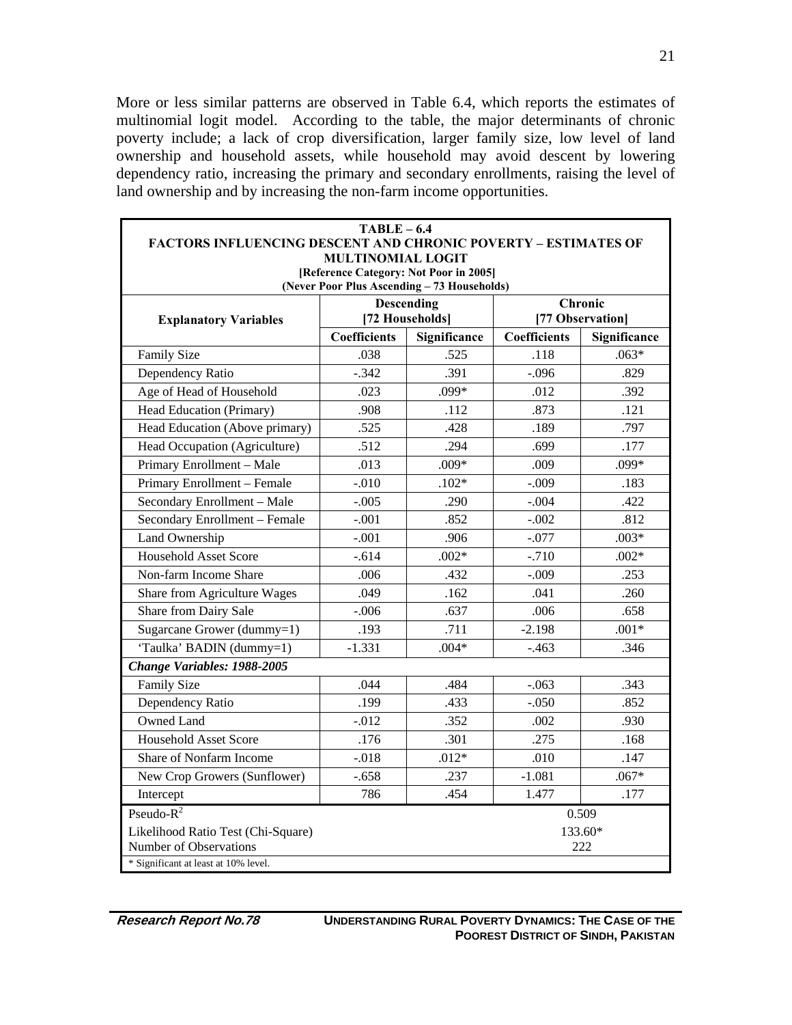More or less similar patterns are observed in Table 6.4, which reports the estimates of multinomial logit model. According to the table, the major determinants of chronic poverty include; a lack of crop diversification, larger family size, low level of land ownership and household assets, while household may avoid descent by lowering dependency ratio, increasing the primary and secondary enrollments, raising the level of land ownership and by increasing the non-farm income opportunities.

| $TABLE - 6.4$                                                         |                     |                                             |                     |                |
|-----------------------------------------------------------------------|---------------------|---------------------------------------------|---------------------|----------------|
| <b>FACTORS INFLUENCING DESCENT AND CHRONIC POVERTY - ESTIMATES OF</b> |                     |                                             |                     |                |
| <b>MULTINOMIAL LOGIT</b><br>[Reference Category: Not Poor in 2005]    |                     |                                             |                     |                |
|                                                                       |                     | (Never Poor Plus Ascending - 73 Households) |                     |                |
|                                                                       | <b>Descending</b>   |                                             | Chronic             |                |
| <b>Explanatory Variables</b>                                          | [72 Households]     |                                             | [77 Observation]    |                |
|                                                                       | <b>Coefficients</b> | Significance                                | <b>Coefficients</b> | Significance   |
| <b>Family Size</b>                                                    | .038                | .525                                        | .118                | $.063*$        |
| Dependency Ratio                                                      | $-.342$             | .391                                        | $-.096$             | .829           |
| Age of Head of Household                                              | .023                | .099*                                       | .012                | .392           |
| Head Education (Primary)                                              | .908                | .112                                        | .873                | .121           |
| Head Education (Above primary)                                        | .525                | .428                                        | .189                | .797           |
| Head Occupation (Agriculture)                                         | .512                | .294                                        | .699                | .177           |
| Primary Enrollment - Male                                             | .013                | $.009*$                                     | .009                | .099*          |
| Primary Enrollment - Female                                           | $-.010$             | $.102*$                                     | $-.009$             | .183           |
| Secondary Enrollment - Male                                           | $-.005$             | .290                                        | $-.004$             | .422           |
| Secondary Enrollment - Female                                         | $-.001$             | .852                                        | $-.002$             | .812           |
| Land Ownership                                                        | $-.001$             | .906                                        | $-.077$             | $.003*$        |
| <b>Household Asset Score</b>                                          | $-.614$             | $.002*$                                     | $-.710$             | $.002*$        |
| Non-farm Income Share                                                 | .006                | .432                                        | $-.009$             | .253           |
| Share from Agriculture Wages                                          | .049                | .162                                        | .041                | .260           |
| Share from Dairy Sale                                                 | $-.006$             | .637                                        | .006                | .658           |
| Sugarcane Grower (dummy=1)                                            | .193                | .711                                        | $-2.198$            | $.001*$        |
| 'Taulka' BADIN (dummy=1)                                              | $-1.331$            | $.004*$                                     | $-.463$             | .346           |
| Change Variables: 1988-2005                                           |                     |                                             |                     |                |
| <b>Family Size</b>                                                    | .044                | .484                                        | $-.063$             | .343           |
| Dependency Ratio                                                      | .199                | .433                                        | $-.050$             | .852           |
| Owned Land                                                            | $-.012$             | .352                                        | .002                | .930           |
| <b>Household Asset Score</b>                                          | .176                | .301                                        | .275                | .168           |
| Share of Nonfarm Income                                               | $-.018$             | $.012*$                                     | .010                | .147           |
| New Crop Growers (Sunflower)                                          | $-.658$             | .237                                        | $-1.081$            | $.067*$        |
| Intercept                                                             | 786                 | .454                                        | 1.477               | .177           |
| $Pseudo-R^2$                                                          |                     |                                             |                     | 0.509          |
| Likelihood Ratio Test (Chi-Square)<br>Number of Observations          |                     |                                             |                     | 133.60*<br>222 |
| * Significant at least at 10% level.                                  |                     |                                             |                     |                |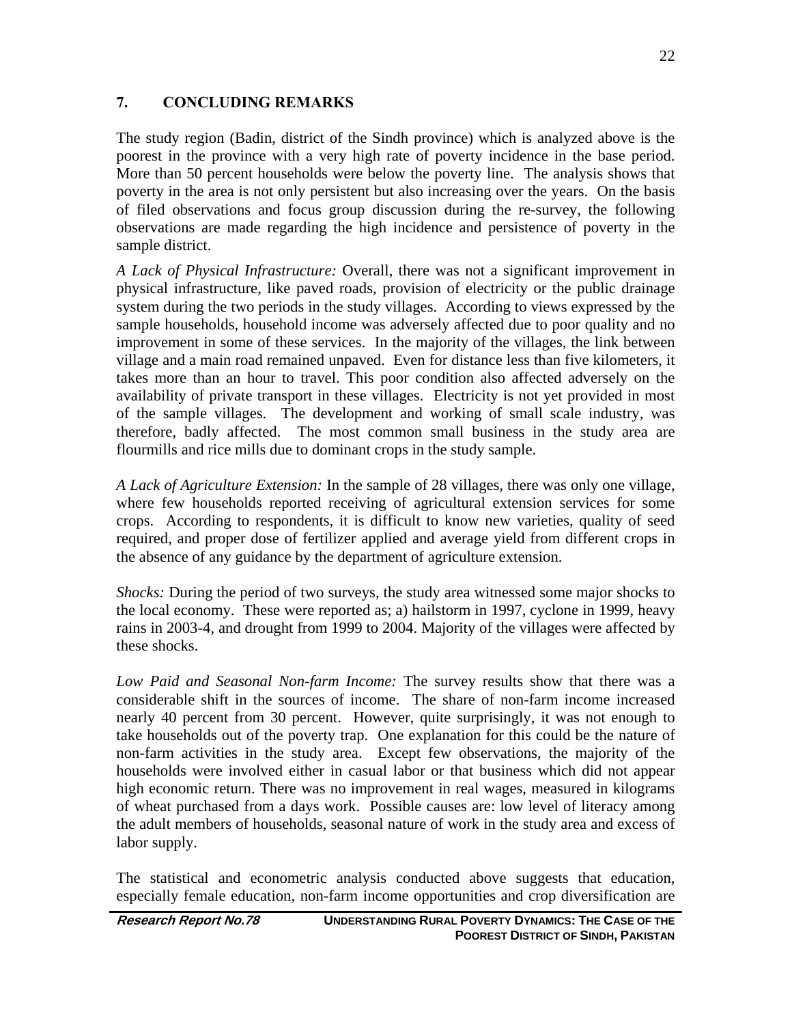### **7. CONCLUDING REMARKS**

The study region (Badin, district of the Sindh province) which is analyzed above is the poorest in the province with a very high rate of poverty incidence in the base period. More than 50 percent households were below the poverty line. The analysis shows that poverty in the area is not only persistent but also increasing over the years. On the basis of filed observations and focus group discussion during the re-survey, the following observations are made regarding the high incidence and persistence of poverty in the sample district.

*A Lack of Physical Infrastructure:* Overall, there was not a significant improvement in physical infrastructure, like paved roads, provision of electricity or the public drainage system during the two periods in the study villages. According to views expressed by the sample households, household income was adversely affected due to poor quality and no improvement in some of these services. In the majority of the villages, the link between village and a main road remained unpaved. Even for distance less than five kilometers, it takes more than an hour to travel. This poor condition also affected adversely on the availability of private transport in these villages. Electricity is not yet provided in most of the sample villages. The development and working of small scale industry, was therefore, badly affected. The most common small business in the study area are flourmills and rice mills due to dominant crops in the study sample.

*A Lack of Agriculture Extension:* In the sample of 28 villages, there was only one village, where few households reported receiving of agricultural extension services for some crops. According to respondents, it is difficult to know new varieties, quality of seed required, and proper dose of fertilizer applied and average yield from different crops in the absence of any guidance by the department of agriculture extension.

*Shocks:* During the period of two surveys, the study area witnessed some major shocks to the local economy. These were reported as; a) hailstorm in 1997, cyclone in 1999, heavy rains in 2003-4, and drought from 1999 to 2004. Majority of the villages were affected by these shocks.

*Low Paid and Seasonal Non-farm Income:* The survey results show that there was a considerable shift in the sources of income. The share of non-farm income increased nearly 40 percent from 30 percent. However, quite surprisingly, it was not enough to take households out of the poverty trap. One explanation for this could be the nature of non-farm activities in the study area. Except few observations, the majority of the households were involved either in casual labor or that business which did not appear high economic return. There was no improvement in real wages, measured in kilograms of wheat purchased from a days work. Possible causes are: low level of literacy among the adult members of households, seasonal nature of work in the study area and excess of labor supply.

The statistical and econometric analysis conducted above suggests that education, especially female education, non-farm income opportunities and crop diversification are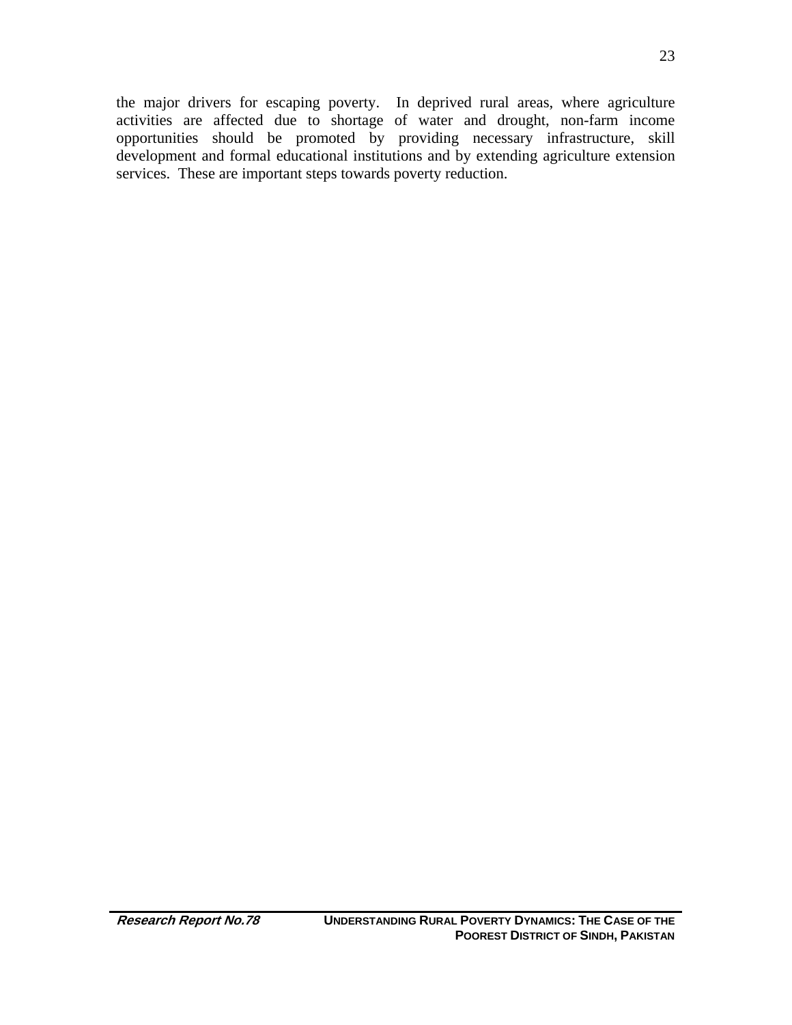the major drivers for escaping poverty. In deprived rural areas, where agriculture activities are affected due to shortage of water and drought, non-farm income opportunities should be promoted by providing necessary infrastructure, skill development and formal educational institutions and by extending agriculture extension services. These are important steps towards poverty reduction.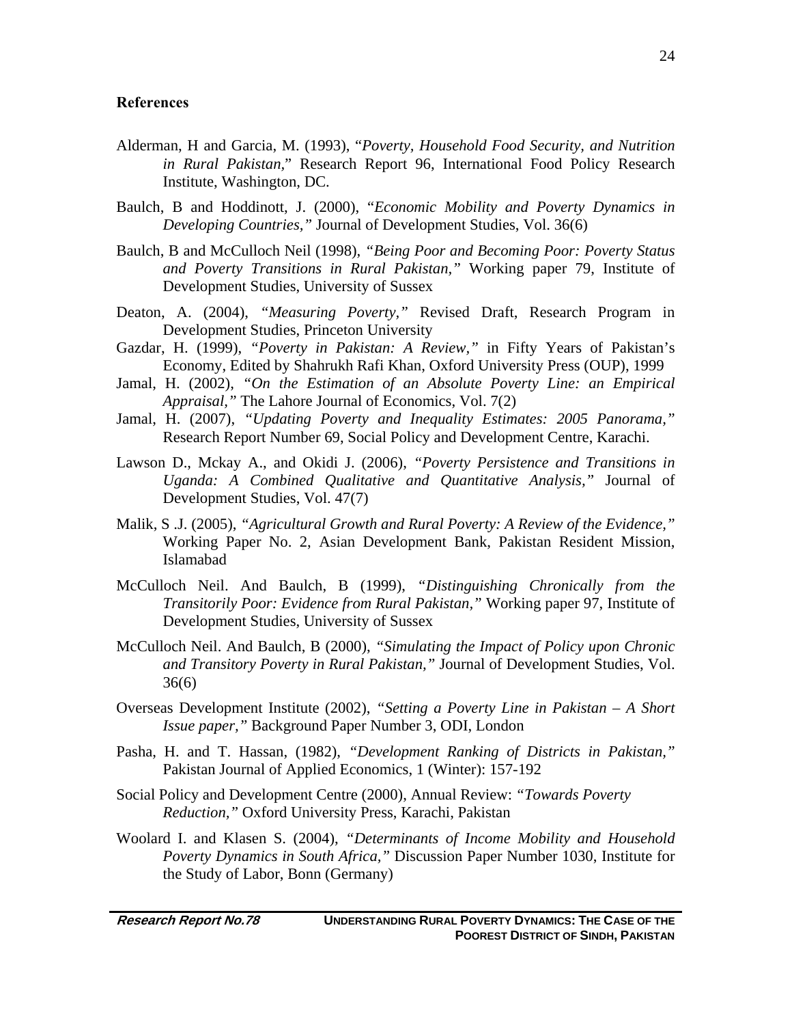#### **References**

- Alderman, H and Garcia, M. (1993), "*Poverty, Household Food Security, and Nutrition in Rural Pakistan,*" Research Report 96, International Food Policy Research Institute, Washington, DC.
- Baulch, B and Hoddinott, J. (2000), "*Economic Mobility and Poverty Dynamics in Developing Countries,"* Journal of Development Studies, Vol. 36(6)
- Baulch, B and McCulloch Neil (1998), *"Being Poor and Becoming Poor: Poverty Status and Poverty Transitions in Rural Pakistan,"* Working paper 79, Institute of Development Studies, University of Sussex
- Deaton, A. (2004), *"Measuring Poverty,"* Revised Draft, Research Program in Development Studies, Princeton University
- Gazdar, H. (1999), *"Poverty in Pakistan: A Review,"* in Fifty Years of Pakistan's Economy, Edited by Shahrukh Rafi Khan, Oxford University Press (OUP), 1999
- Jamal, H. (2002), *"On the Estimation of an Absolute Poverty Line: an Empirical Appraisal,"* The Lahore Journal of Economics, Vol. 7(2)
- Jamal, H. (2007), *"Updating Poverty and Inequality Estimates: 2005 Panorama,"*  Research Report Number 69, Social Policy and Development Centre, Karachi.
- Lawson D., Mckay A., and Okidi J. (2006), *"Poverty Persistence and Transitions in Uganda: A Combined Qualitative and Quantitative Analysis,"* Journal of Development Studies, Vol. 47(7)
- Malik, S .J. (2005), *"Agricultural Growth and Rural Poverty: A Review of the Evidence,"* Working Paper No. 2, Asian Development Bank, Pakistan Resident Mission, Islamabad
- McCulloch Neil. And Baulch, B (1999), *"Distinguishing Chronically from the Transitorily Poor: Evidence from Rural Pakistan,"* Working paper 97, Institute of Development Studies, University of Sussex
- McCulloch Neil. And Baulch, B (2000), *"Simulating the Impact of Policy upon Chronic and Transitory Poverty in Rural Pakistan,"* Journal of Development Studies, Vol. 36(6)
- Overseas Development Institute (2002), *"Setting a Poverty Line in Pakistan A Short Issue paper,"* Background Paper Number 3, ODI, London
- Pasha, H. and T. Hassan, (1982), *"Development Ranking of Districts in Pakistan,"* Pakistan Journal of Applied Economics, 1 (Winter): 157-192
- Social Policy and Development Centre (2000), Annual Review: *"Towards Poverty Reduction,"* Oxford University Press, Karachi, Pakistan
- Woolard I. and Klasen S. (2004), *"Determinants of Income Mobility and Household Poverty Dynamics in South Africa,"* Discussion Paper Number 1030, Institute for the Study of Labor, Bonn (Germany)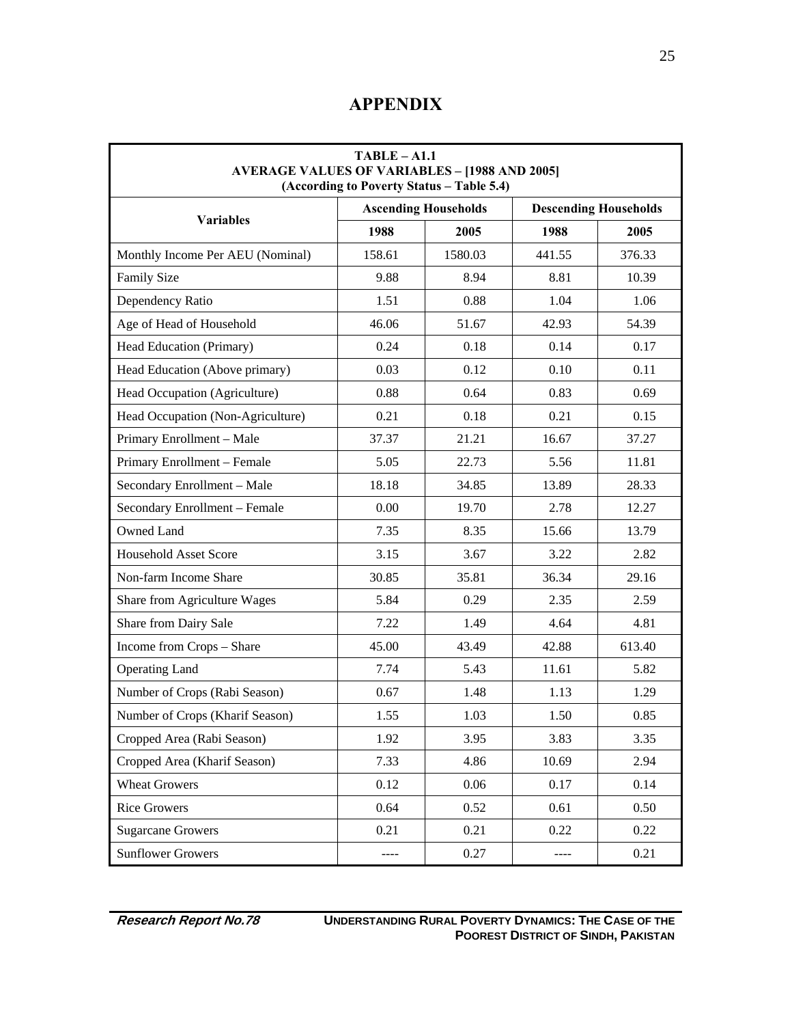# **APPENDIX**

| $TABLE - A1.1$<br><b>AVERAGE VALUES OF VARIABLES - [1988 AND 2005]</b><br>(According to Poverty Status - Table 5.4) |                             |         |                              |        |
|---------------------------------------------------------------------------------------------------------------------|-----------------------------|---------|------------------------------|--------|
|                                                                                                                     | <b>Ascending Households</b> |         | <b>Descending Households</b> |        |
| <b>Variables</b>                                                                                                    | 1988                        | 2005    | 1988                         | 2005   |
| Monthly Income Per AEU (Nominal)                                                                                    | 158.61                      | 1580.03 | 441.55                       | 376.33 |
| <b>Family Size</b>                                                                                                  | 9.88                        | 8.94    | 8.81                         | 10.39  |
| Dependency Ratio                                                                                                    | 1.51                        | 0.88    | 1.04                         | 1.06   |
| Age of Head of Household                                                                                            | 46.06                       | 51.67   | 42.93                        | 54.39  |
| Head Education (Primary)                                                                                            | 0.24                        | 0.18    | 0.14                         | 0.17   |
| Head Education (Above primary)                                                                                      | 0.03                        | 0.12    | 0.10                         | 0.11   |
| Head Occupation (Agriculture)                                                                                       | 0.88                        | 0.64    | 0.83                         | 0.69   |
| Head Occupation (Non-Agriculture)                                                                                   | 0.21                        | 0.18    | 0.21                         | 0.15   |
| Primary Enrollment - Male                                                                                           | 37.37                       | 21.21   | 16.67                        | 37.27  |
| Primary Enrollment - Female                                                                                         | 5.05                        | 22.73   | 5.56                         | 11.81  |
| Secondary Enrollment - Male                                                                                         | 18.18                       | 34.85   | 13.89                        | 28.33  |
| Secondary Enrollment - Female                                                                                       | 0.00                        | 19.70   | 2.78                         | 12.27  |
| Owned Land                                                                                                          | 7.35                        | 8.35    | 15.66                        | 13.79  |
| <b>Household Asset Score</b>                                                                                        | 3.15                        | 3.67    | 3.22                         | 2.82   |
| Non-farm Income Share                                                                                               | 30.85                       | 35.81   | 36.34                        | 29.16  |
| Share from Agriculture Wages                                                                                        | 5.84                        | 0.29    | 2.35                         | 2.59   |
| Share from Dairy Sale                                                                                               | 7.22                        | 1.49    | 4.64                         | 4.81   |
| Income from Crops - Share                                                                                           | 45.00                       | 43.49   | 42.88                        | 613.40 |
| <b>Operating Land</b>                                                                                               | 7.74                        | 5.43    | 11.61                        | 5.82   |
| Number of Crops (Rabi Season)                                                                                       | 0.67                        | 1.48    | 1.13                         | 1.29   |
| Number of Crops (Kharif Season)                                                                                     | 1.55                        | 1.03    | 1.50                         | 0.85   |
| Cropped Area (Rabi Season)                                                                                          | 1.92                        | 3.95    | 3.83                         | 3.35   |
| Cropped Area (Kharif Season)                                                                                        | 7.33                        | 4.86    | 10.69                        | 2.94   |
| <b>Wheat Growers</b>                                                                                                | 0.12                        | 0.06    | 0.17                         | 0.14   |
| <b>Rice Growers</b>                                                                                                 | 0.64                        | 0.52    | 0.61                         | 0.50   |
| <b>Sugarcane Growers</b>                                                                                            | 0.21                        | 0.21    | 0.22                         | 0.22   |
| <b>Sunflower Growers</b>                                                                                            | ----                        | 0.27    | ----                         | 0.21   |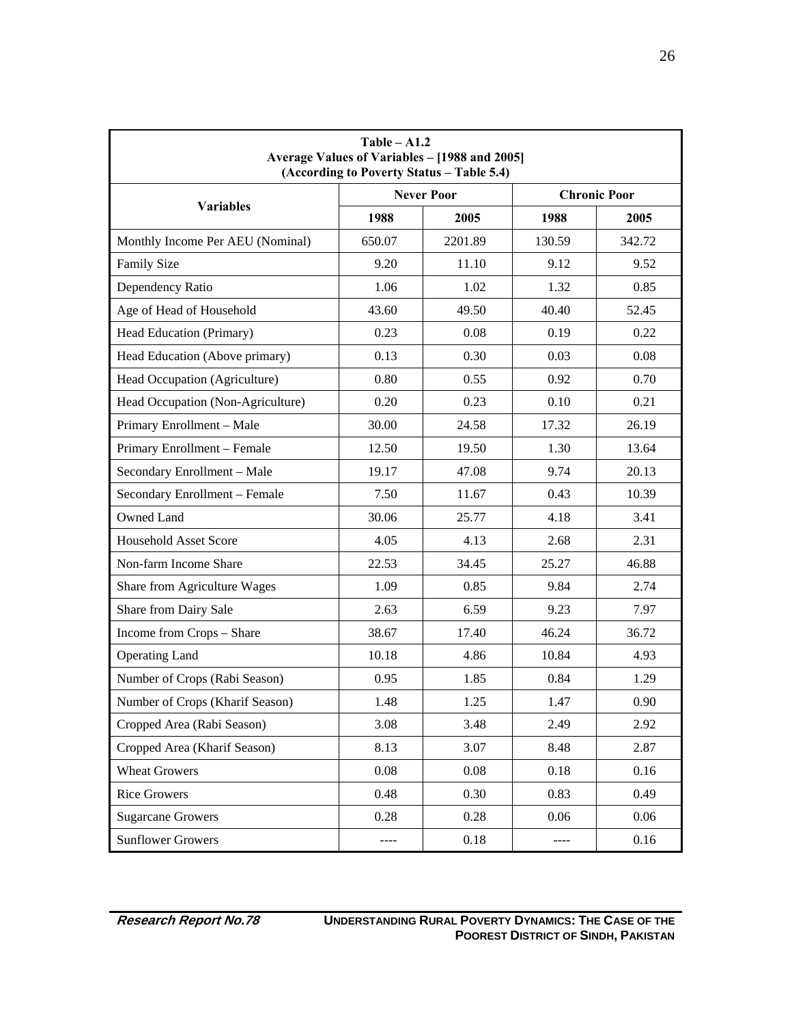| $Table - A1.2$<br>Average Values of Variables - [1988 and 2005]<br>(According to Poverty Status - Table 5.4) |        |                   |        |                     |
|--------------------------------------------------------------------------------------------------------------|--------|-------------------|--------|---------------------|
| <b>Variables</b>                                                                                             |        | <b>Never Poor</b> |        | <b>Chronic Poor</b> |
|                                                                                                              | 1988   | 2005              | 1988   | 2005                |
| Monthly Income Per AEU (Nominal)                                                                             | 650.07 | 2201.89           | 130.59 | 342.72              |
| <b>Family Size</b>                                                                                           | 9.20   | 11.10             | 9.12   | 9.52                |
| Dependency Ratio                                                                                             | 1.06   | 1.02              | 1.32   | 0.85                |
| Age of Head of Household                                                                                     | 43.60  | 49.50             | 40.40  | 52.45               |
| Head Education (Primary)                                                                                     | 0.23   | 0.08              | 0.19   | 0.22                |
| Head Education (Above primary)                                                                               | 0.13   | 0.30              | 0.03   | 0.08                |
| Head Occupation (Agriculture)                                                                                | 0.80   | 0.55              | 0.92   | 0.70                |
| Head Occupation (Non-Agriculture)                                                                            | 0.20   | 0.23              | 0.10   | 0.21                |
| Primary Enrollment - Male                                                                                    | 30.00  | 24.58             | 17.32  | 26.19               |
| Primary Enrollment - Female                                                                                  | 12.50  | 19.50             | 1.30   | 13.64               |
| Secondary Enrollment - Male                                                                                  | 19.17  | 47.08             | 9.74   | 20.13               |
| Secondary Enrollment - Female                                                                                | 7.50   | 11.67             | 0.43   | 10.39               |
| Owned Land                                                                                                   | 30.06  | 25.77             | 4.18   | 3.41                |
| <b>Household Asset Score</b>                                                                                 | 4.05   | 4.13              | 2.68   | 2.31                |
| Non-farm Income Share                                                                                        | 22.53  | 34.45             | 25.27  | 46.88               |
| Share from Agriculture Wages                                                                                 | 1.09   | 0.85              | 9.84   | 2.74                |
| Share from Dairy Sale                                                                                        | 2.63   | 6.59              | 9.23   | 7.97                |
| Income from Crops - Share                                                                                    | 38.67  | 17.40             | 46.24  | 36.72               |
| <b>Operating Land</b>                                                                                        | 10.18  | 4.86              | 10.84  | 4.93                |
| Number of Crops (Rabi Season)                                                                                | 0.95   | 1.85              | 0.84   | 1.29                |
| Number of Crops (Kharif Season)                                                                              | 1.48   | 1.25              | 1.47   | 0.90                |
| Cropped Area (Rabi Season)                                                                                   | 3.08   | 3.48              | 2.49   | 2.92                |
| Cropped Area (Kharif Season)                                                                                 | 8.13   | 3.07              | 8.48   | 2.87                |
| <b>Wheat Growers</b>                                                                                         | 0.08   | 0.08              | 0.18   | 0.16                |
| <b>Rice Growers</b>                                                                                          | 0.48   | 0.30              | 0.83   | 0.49                |
| <b>Sugarcane Growers</b>                                                                                     | 0.28   | 0.28              | 0.06   | 0.06                |
| <b>Sunflower Growers</b>                                                                                     | ----   | 0.18              | ----   | 0.16                |